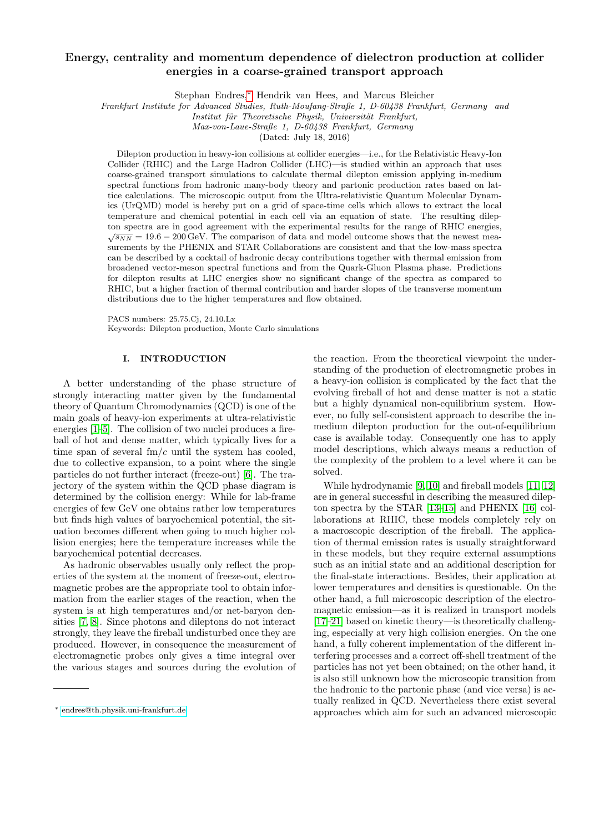# Energy, centrality and momentum dependence of dielectron production at collider energies in a coarse-grained transport approach

Stephan Endres,[∗](#page-0-0) Hendrik van Hees, and Marcus Bleicher

Frankfurt Institute for Advanced Studies, Ruth-Moufang-Straße 1, D-60438 Frankfurt, Germany and

Institut für Theoretische Physik, Universität Frankfurt,

Max-von-Laue-Straße 1, D-60438 Frankfurt, Germany

(Dated: July 18, 2016)

Dilepton production in heavy-ion collisions at collider energies—i.e., for the Relativistic Heavy-Ion Collider (RHIC) and the Large Hadron Collider (LHC)—is studied within an approach that uses coarse-grained transport simulations to calculate thermal dilepton emission applying in-medium spectral functions from hadronic many-body theory and partonic production rates based on lattice calculations. The microscopic output from the Ultra-relativistic Quantum Molecular Dynamics (UrQMD) model is hereby put on a grid of space-time cells which allows to extract the local temperature and chemical potential in each cell via an equation of state. The resulting dilepton spectra are in good agreement with the experimental results for the range of RHIC energies,  $\sqrt{s_{NN}} = 19.6 - 200 \,\text{GeV}$ . The comparison of data and model outcome shows that the newest measurements by the PHENIX and STAR Collaborations are consistent and that the low-mass spectra can be described by a cocktail of hadronic decay contributions together with thermal emission from broadened vector-meson spectral functions and from the Quark-Gluon Plasma phase. Predictions for dilepton results at LHC energies show no significant change of the spectra as compared to RHIC, but a higher fraction of thermal contribution and harder slopes of the transverse momentum distributions due to the higher temperatures and flow obtained.

PACS numbers: 25.75.Cj, 24.10.Lx Keywords: Dilepton production, Monte Carlo simulations

## I. INTRODUCTION

A better understanding of the phase structure of strongly interacting matter given by the fundamental theory of Quantum Chromodynamics (QCD) is one of the main goals of heavy-ion experiments at ultra-relativistic energies [\[1–](#page-15-0)[5\]](#page-15-1). The collision of two nuclei produces a fireball of hot and dense matter, which typically lives for a time span of several  $\text{fm}/c$  until the system has cooled, due to collective expansion, to a point where the single particles do not further interact (freeze-out) [\[6\]](#page-15-2). The trajectory of the system within the QCD phase diagram is determined by the collision energy: While for lab-frame energies of few GeV one obtains rather low temperatures but finds high values of baryochemical potential, the situation becomes different when going to much higher collision energies; here the temperature increases while the baryochemical potential decreases.

As hadronic observables usually only reflect the properties of the system at the moment of freeze-out, electromagnetic probes are the appropriate tool to obtain information from the earlier stages of the reaction, when the system is at high temperatures and/or net-baryon densities [\[7,](#page-15-3) [8\]](#page-15-4). Since photons and dileptons do not interact strongly, they leave the fireball undisturbed once they are produced. However, in consequence the measurement of electromagnetic probes only gives a time integral over the various stages and sources during the evolution of

the reaction. From the theoretical viewpoint the understanding of the production of electromagnetic probes in a heavy-ion collision is complicated by the fact that the evolving fireball of hot and dense matter is not a static but a highly dynamical non-equilibrium system. However, no fully self-consistent approach to describe the inmedium dilepton production for the out-of-equilibrium case is available today. Consequently one has to apply model descriptions, which always means a reduction of the complexity of the problem to a level where it can be solved.

While hydrodynamic [\[9,](#page-15-5) [10\]](#page-15-6) and fireball models [\[11,](#page-15-7) [12\]](#page-15-8) are in general successful in describing the measured dilepton spectra by the STAR [\[13–](#page-15-9)[15\]](#page-15-10) and PHENIX [\[16\]](#page-15-11) collaborations at RHIC, these models completely rely on a macroscopic description of the fireball. The application of thermal emission rates is usually straightforward in these models, but they require external assumptions such as an initial state and an additional description for the final-state interactions. Besides, their application at lower temperatures and densities is questionable. On the other hand, a full microscopic description of the electromagnetic emission—as it is realized in transport models [\[17–](#page-15-12)[21\]](#page-15-13) based on kinetic theory—is theoretically challenging, especially at very high collision energies. On the one hand, a fully coherent implementation of the different interfering processes and a correct off-shell treatment of the particles has not yet been obtained; on the other hand, it is also still unknown how the microscopic transition from the hadronic to the partonic phase (and vice versa) is actually realized in QCD. Nevertheless there exist several approaches which aim for such an advanced microscopic

<span id="page-0-0"></span><sup>∗</sup> [endres@th.physik.uni-frankfurt.de](mailto:endres@th.physik.uni-frankfurt.de)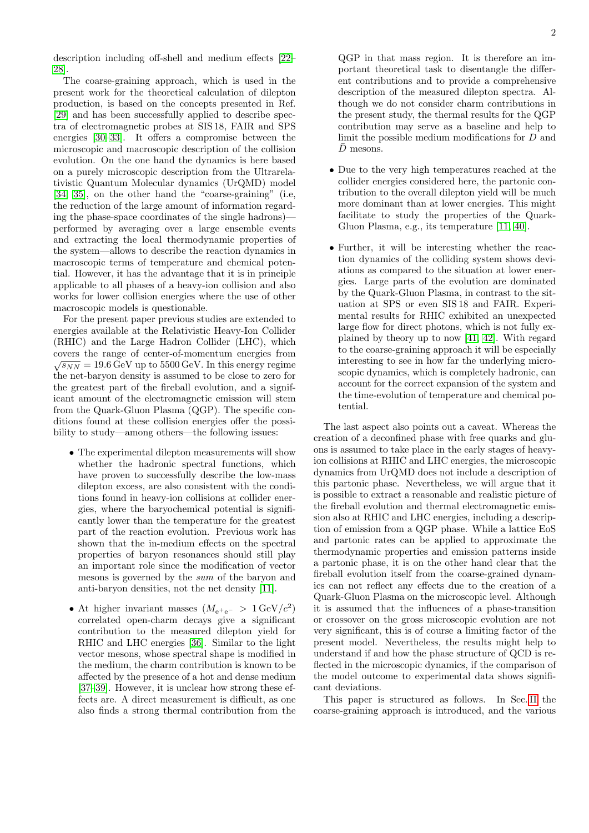description including off-shell and medium effects [\[22–](#page-15-14) [28\]](#page-15-15).

The coarse-graining approach, which is used in the present work for the theoretical calculation of dilepton production, is based on the concepts presented in Ref. [\[29\]](#page-15-16) and has been successfully applied to describe spectra of electromagnetic probes at SIS 18, FAIR and SPS energies [\[30](#page-15-17)[–33\]](#page-15-18). It offers a compromise between the microscopic and macroscopic description of the collision evolution. On the one hand the dynamics is here based on a purely microscopic description from the Ultrarelativistic Quantum Molecular dynamics (UrQMD) model [\[34,](#page-15-19) [35\]](#page-15-20), on the other hand the "coarse-graining" (i.e, the reduction of the large amount of information regarding the phase-space coordinates of the single hadrons) performed by averaging over a large ensemble events and extracting the local thermodynamic properties of the system—allows to describe the reaction dynamics in macroscopic terms of temperature and chemical potential. However, it has the advantage that it is in principle applicable to all phases of a heavy-ion collision and also works for lower collision energies where the use of other macroscopic models is questionable.

For the present paper previous studies are extended to energies available at the Relativistic Heavy-Ion Collider (RHIC) and the Large Hadron Collider (LHC), which covers the range of center-of-momentum energies from<br> $\sqrt{=}$  10.6  $\alpha$  V,  $\alpha$  5500  $\alpha$  V,  $\alpha$  4.1  $\sqrt{s_{NN}} = 19.6 \,\text{GeV}$  up to 5500 GeV. In this energy regime the net-baryon density is assumed to be close to zero for the greatest part of the fireball evolution, and a significant amount of the electromagnetic emission will stem from the Quark-Gluon Plasma (QGP). The specific conditions found at these collision energies offer the possibility to study—among others—the following issues:

- The experimental dilepton measurements will show whether the hadronic spectral functions, which have proven to successfully describe the low-mass dilepton excess, are also consistent with the conditions found in heavy-ion collisions at collider energies, where the baryochemical potential is significantly lower than the temperature for the greatest part of the reaction evolution. Previous work has shown that the in-medium effects on the spectral properties of baryon resonances should still play an important role since the modification of vector mesons is governed by the sum of the baryon and anti-baryon densities, not the net density [\[11\]](#page-15-7).
- At higher invariant masses  $(M_{e^+e^-} > 1 \,\text{GeV}/c^2)$ correlated open-charm decays give a significant contribution to the measured dilepton yield for RHIC and LHC energies [\[36\]](#page-15-21). Similar to the light vector mesons, whose spectral shape is modified in the medium, the charm contribution is known to be affected by the presence of a hot and dense medium [\[37–](#page-15-22)[39\]](#page-15-23). However, it is unclear how strong these effects are. A direct measurement is difficult, as one also finds a strong thermal contribution from the

QGP in that mass region. It is therefore an important theoretical task to disentangle the different contributions and to provide a comprehensive description of the measured dilepton spectra. Although we do not consider charm contributions in the present study, the thermal results for the QGP contribution may serve as a baseline and help to limit the possible medium modifications for D and  $\bar{D}$  mesons.

- Due to the very high temperatures reached at the collider energies considered here, the partonic contribution to the overall dilepton yield will be much more dominant than at lower energies. This might facilitate to study the properties of the Quark-Gluon Plasma, e.g., its temperature [\[11,](#page-15-7) [40\]](#page-15-24).
- Further, it will be interesting whether the reaction dynamics of the colliding system shows deviations as compared to the situation at lower energies. Large parts of the evolution are dominated by the Quark-Gluon Plasma, in contrast to the situation at SPS or even SIS 18 and FAIR. Experimental results for RHIC exhibited an unexpected large flow for direct photons, which is not fully explained by theory up to now [\[41,](#page-15-25) [42\]](#page-15-26). With regard to the coarse-graining approach it will be especially interesting to see in how far the underlying microscopic dynamics, which is completely hadronic, can account for the correct expansion of the system and the time-evolution of temperature and chemical potential.

The last aspect also points out a caveat. Whereas the creation of a deconfined phase with free quarks and gluons is assumed to take place in the early stages of heavyion collisions at RHIC and LHC energies, the microscopic dynamics from UrQMD does not include a description of this partonic phase. Nevertheless, we will argue that it is possible to extract a reasonable and realistic picture of the fireball evolution and thermal electromagnetic emission also at RHIC and LHC energies, including a description of emission from a QGP phase. While a lattice EoS and partonic rates can be applied to approximate the thermodynamic properties and emission patterns inside a partonic phase, it is on the other hand clear that the fireball evolution itself from the coarse-grained dynamics can not reflect any effects due to the creation of a Quark-Gluon Plasma on the microscopic level. Although it is assumed that the influences of a phase-transition or crossover on the gross microscopic evolution are not very significant, this is of course a limiting factor of the present model. Nevertheless, the results might help to understand if and how the phase structure of QCD is reflected in the microscopic dynamics, if the comparison of the model outcome to experimental data shows significant deviations.

This paper is structured as follows. In Sec. [II](#page-2-0) the coarse-graining approach is introduced, and the various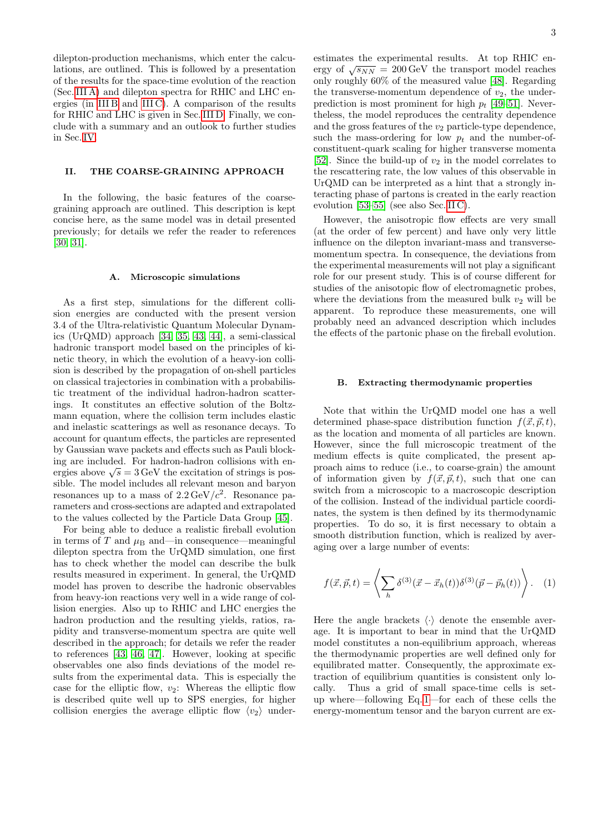dilepton-production mechanisms, which enter the calculations, are outlined. This is followed by a presentation of the results for the space-time evolution of the reaction (Sec. [III A\)](#page-6-0) and dilepton spectra for RHIC and LHC energies (in [III B](#page-7-0) and [III C\)](#page-11-0). A comparison of the results for RHIC and LHC is given in Sec. [III D.](#page-12-0) Finally, we conclude with a summary and an outlook to further studies in Sec. [IV.](#page-14-0)

# <span id="page-2-0"></span>II. THE COARSE-GRAINING APPROACH

In the following, the basic features of the coarsegraining approach are outlined. This description is kept concise here, as the same model was in detail presented previously; for details we refer the reader to references [\[30,](#page-15-17) [31\]](#page-15-27).

#### <span id="page-2-2"></span>A. Microscopic simulations

As a first step, simulations for the different collision energies are conducted with the present version 3.4 of the Ultra-relativistic Quantum Molecular Dynamics (UrQMD) approach [\[34,](#page-15-19) [35,](#page-15-20) [43,](#page-15-28) [44\]](#page-15-29), a semi-classical hadronic transport model based on the principles of kinetic theory, in which the evolution of a heavy-ion collision is described by the propagation of on-shell particles on classical trajectories in combination with a probabilistic treatment of the individual hadron-hadron scatterings. It constitutes an effective solution of the Boltzmann equation, where the collision term includes elastic and inelastic scatterings as well as resonance decays. To account for quantum effects, the particles are represented by Gaussian wave packets and effects such as Pauli blocking are included. For hadron-hadron collisions with enmg are included. For hadron-hadron comsions with energies above  $\sqrt{s} = 3 \,\text{GeV}$  the excitation of strings is possible. The model includes all relevant meson and baryon resonances up to a mass of  $2.2 \,\text{GeV}/c^2$ . Resonance parameters and cross-sections are adapted and extrapolated to the values collected by the Particle Data Group [\[45\]](#page-15-30).

For being able to deduce a realistic fireball evolution in terms of T and  $\mu_B$  and—in consequence—meaningful dilepton spectra from the UrQMD simulation, one first has to check whether the model can describe the bulk results measured in experiment. In general, the UrQMD model has proven to describe the hadronic observables from heavy-ion reactions very well in a wide range of collision energies. Also up to RHIC and LHC energies the hadron production and the resulting yields, ratios, rapidity and transverse-momentum spectra are quite well described in the approach; for details we refer the reader to references [\[43,](#page-15-28) [46,](#page-15-31) [47\]](#page-15-32). However, looking at specific observables one also finds deviations of the model results from the experimental data. This is especially the case for the elliptic flow,  $v_2$ : Whereas the elliptic flow is described quite well up to SPS energies, for higher collision energies the average elliptic flow  $\langle v_2 \rangle$  underestimates the experimental results. At top RHIC enestimates the experimental results. At top function-<br>ergy of  $\sqrt{s_{NN}} = 200 \,\text{GeV}$  the transport model reaches only roughly 60% of the measured value [\[48\]](#page-15-33). Regarding the transverse-momentum dependence of  $v_2$ , the underprediction is most prominent for high  $p_t$  [\[49–](#page-15-34)[51\]](#page-15-35). Nevertheless, the model reproduces the centrality dependence and the gross features of the  $v_2$  particle-type dependence, such the mass-ordering for low  $p_t$  and the number-ofconstituent-quark scaling for higher transverse momenta [\[52\]](#page-15-36). Since the build-up of  $v_2$  in the model correlates to the rescattering rate, the low values of this observable in UrQMD can be interpreted as a hint that a strongly interacting phase of partons is created in the early reaction evolution [\[53–](#page-15-37)[55\]](#page-15-38) (see also Sec. [II C\)](#page-3-0).

However, the anisotropic flow effects are very small (at the order of few percent) and have only very little influence on the dilepton invariant-mass and transversemomentum spectra. In consequence, the deviations from the experimental measurements will not play a significant role for our present study. This is of course different for studies of the anisotopic flow of electromagnetic probes, where the deviations from the measured bulk  $v_2$  will be apparent. To reproduce these measurements, one will probably need an advanced description which includes the effects of the partonic phase on the fireball evolution.

## <span id="page-2-3"></span>B. Extracting thermodynamic properties

Note that within the UrQMD model one has a well determined phase-space distribution function  $f(\vec{x}, \vec{p}, t)$ , as the location and momenta of all particles are known. However, since the full microscopic treatment of the medium effects is quite complicated, the present approach aims to reduce (i.e., to coarse-grain) the amount of information given by  $f(\vec{x}, \vec{p}, t)$ , such that one can switch from a microscopic to a macroscopic description of the collision. Instead of the individual particle coordinates, the system is then defined by its thermodynamic properties. To do so, it is first necessary to obtain a smooth distribution function, which is realized by averaging over a large number of events:

<span id="page-2-1"></span>
$$
f(\vec{x}, \vec{p}, t) = \left\langle \sum_{h} \delta^{(3)}(\vec{x} - \vec{x}_h(t)) \delta^{(3)}(\vec{p} - \vec{p}_h(t)) \right\rangle. \quad (1)
$$

Here the angle brackets  $\langle \cdot \rangle$  denote the ensemble average. It is important to bear in mind that the UrQMD model constitutes a non-equilibrium approach, whereas the thermodynamic properties are well defined only for equilibrated matter. Consequently, the approximate extraction of equilibrium quantities is consistent only locally. Thus a grid of small space-time cells is setup where—following Eq. [1—](#page-2-1)for each of these cells the energy-momentum tensor and the baryon current are ex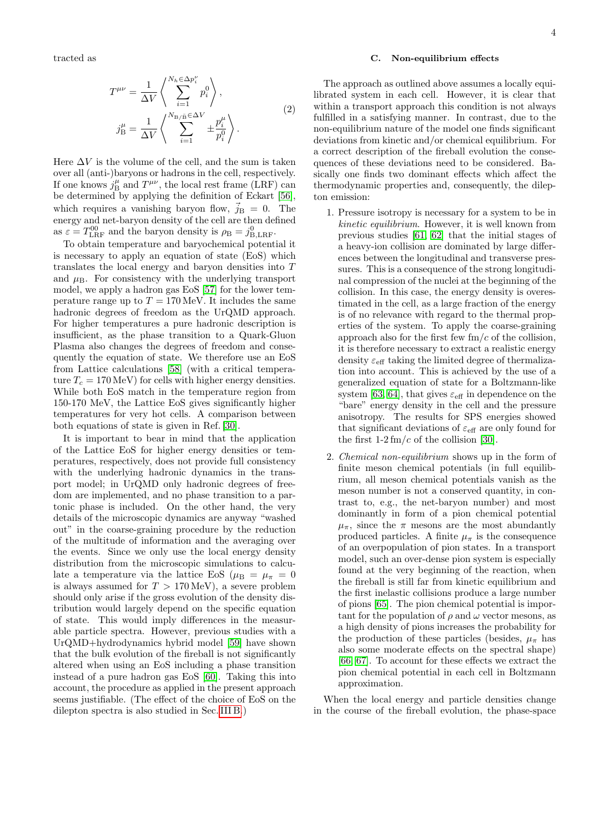tracted as

$$
T^{\mu\nu} = \frac{1}{\Delta V} \left\langle \sum_{i=1}^{N_h \in \Delta p_i^{\nu}} p_i^0 \right\rangle,
$$
  

$$
j_B^{\mu} = \frac{1}{\Delta V} \left\langle \sum_{i=1}^{N_{\rm B/\bar{B}} \in \Delta V} \pm \frac{p_i^{\mu}}{p_i^0} \right\rangle.
$$
 (2)

Here  $\Delta V$  is the volume of the cell, and the sum is taken over all (anti-)baryons or hadrons in the cell, respectively. If one knows  $j_B^{\mu}$  and  $T^{\mu\nu}$ , the local rest frame (LRF) can be determined by applying the definition of Eckart [\[56\]](#page-15-39), which requires a vanishing baryon flow,  $\vec{j}_B = 0$ . The energy and net-baryon density of the cell are then defined as  $\varepsilon = T_{\text{LRF}}^{00}$  and the baryon density is  $\rho_{\text{B}} = j_{\text{B,LRF}}^{0}$ .

To obtain temperature and baryochemical potential it is necessary to apply an equation of state (EoS) which translates the local energy and baryon densities into T and  $\mu_{\rm B}$ . For consistency with the underlying transport model, we apply a hadron gas EoS [\[57\]](#page-15-40) for the lower temperature range up to  $T = 170 \,\text{MeV}$ . It includes the same hadronic degrees of freedom as the UrQMD approach. For higher temperatures a pure hadronic description is insufficient, as the phase transition to a Quark-Gluon Plasma also changes the degrees of freedom and consequently the equation of state. We therefore use an EoS from Lattice calculations [\[58\]](#page-15-41) (with a critical temperature  $T_c = 170 \,\text{MeV}$  for cells with higher energy densities. While both EoS match in the temperature region from 150-170 MeV, the Lattice EoS gives significantly higher temperatures for very hot cells. A comparison between both equations of state is given in Ref. [\[30\]](#page-15-17).

It is important to bear in mind that the application of the Lattice EoS for higher energy densities or temperatures, respectively, does not provide full consistency with the underlying hadronic dynamics in the transport model; in UrQMD only hadronic degrees of freedom are implemented, and no phase transition to a partonic phase is included. On the other hand, the very details of the microscopic dynamics are anyway "washed out" in the coarse-graining procedure by the reduction of the multitude of information and the averaging over the events. Since we only use the local energy density distribution from the microscopic simulations to calculate a temperature via the lattice EoS ( $\mu_B = \mu_\pi = 0$ is always assumed for  $T > 170 \,\text{MeV}$ , a severe problem should only arise if the gross evolution of the density distribution would largely depend on the specific equation of state. This would imply differences in the measurable particle spectra. However, previous studies with a UrQMD+hydrodynamics hybrid model [\[59\]](#page-15-42) have shown that the bulk evolution of the fireball is not significantly altered when using an EoS including a phase transition instead of a pure hadron gas EoS [\[60\]](#page-16-0). Taking this into account, the procedure as applied in the present approach seems justifiable. (The effect of the choice of EoS on the dilepton spectra is also studied in Sec. [III B.](#page-7-0))

# <span id="page-3-0"></span>C. Non-equilibrium effects

The approach as outlined above assumes a locally equilibrated system in each cell. However, it is clear that within a transport approach this condition is not always fulfilled in a satisfying manner. In contrast, due to the non-equilibrium nature of the model one finds significant deviations from kinetic and/or chemical equilibrium. For a correct description of the fireball evolution the consequences of these deviations need to be considered. Basically one finds two dominant effects which affect the thermodynamic properties and, consequently, the dilepton emission:

- 1. Pressure isotropy is necessary for a system to be in kinetic equilibrium. However, it is well known from previous studies [\[61,](#page-16-1) [62\]](#page-16-2) that the initial stages of a heavy-ion collision are dominated by large differences between the longitudinal and transverse pressures. This is a consequence of the strong longitudinal compression of the nuclei at the beginning of the collision. In this case, the energy density is overestimated in the cell, as a large fraction of the energy is of no relevance with regard to the thermal properties of the system. To apply the coarse-graining approach also for the first few  $\text{fm}/c$  of the collision, it is therefore necessary to extract a realistic energy density  $\varepsilon_{\text{eff}}$  taking the limited degree of thermalization into account. This is achieved by the use of a generalized equation of state for a Boltzmann-like system [\[63,](#page-16-3) [64\]](#page-16-4), that gives  $\varepsilon_{\text{eff}}$  in dependence on the "bare" energy density in the cell and the pressure anisotropy. The results for SPS energies showed that significant deviations of  $\varepsilon_{\text{eff}}$  are only found for the first  $1-2 \, \text{fm}/c$  of the collision [\[30\]](#page-15-17).
- 2. Chemical non-equilibrium shows up in the form of finite meson chemical potentials (in full equilibrium, all meson chemical potentials vanish as the meson number is not a conserved quantity, in contrast to, e.g., the net-baryon number) and most dominantly in form of a pion chemical potential  $\mu_{\pi}$ , since the  $\pi$  mesons are the most abundantly produced particles. A finite  $\mu_{\pi}$  is the consequence of an overpopulation of pion states. In a transport model, such an over-dense pion system is especially found at the very beginning of the reaction, when the fireball is still far from kinetic equilibrium and the first inelastic collisions produce a large number of pions [\[65\]](#page-16-5). The pion chemical potential is important for the population of  $\rho$  and  $\omega$  vector mesons, as a high density of pions increases the probability for the production of these particles (besides,  $\mu_{\pi}$  has also some moderate effects on the spectral shape) [\[66,](#page-16-6) [67\]](#page-16-7). To account for these effects we extract the pion chemical potential in each cell in Boltzmann approximation.

When the local energy and particle densities change in the course of the fireball evolution, the phase-space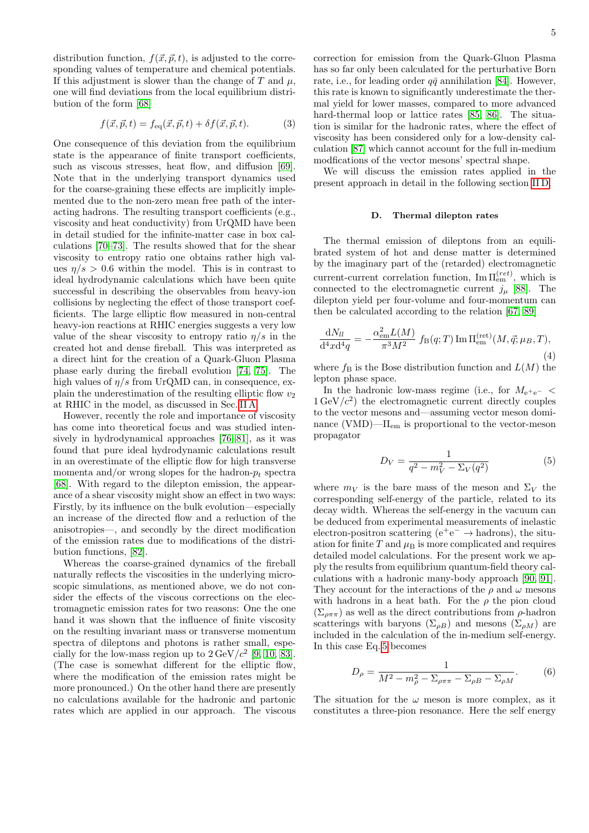distribution function,  $f(\vec{x}, \vec{p}, t)$ , is adjusted to the corresponding values of temperature and chemical potentials. If this adjustment is slower than the change of  $T$  and  $\mu$ , one will find deviations from the local equilibrium distribution of the form [\[68\]](#page-16-8)

$$
f(\vec{x}, \vec{p}, t) = f_{\text{eq}}(\vec{x}, \vec{p}, t) + \delta f(\vec{x}, \vec{p}, t). \tag{3}
$$

One consequence of this deviation from the equilibrium state is the appearance of finite transport coefficients, such as viscous stresses, heat flow, and diffusion [\[69\]](#page-16-9). Note that in the underlying transport dynamics used for the coarse-graining these effects are implicitly implemented due to the non-zero mean free path of the interacting hadrons. The resulting transport coefficients (e.g., viscosity and heat conductivity) from UrQMD have been in detail studied for the infinite-matter case in box calculations [\[70–](#page-16-10)[73\]](#page-16-11). The results showed that for the shear viscosity to entropy ratio one obtains rather high values  $\eta/s > 0.6$  within the model. This is in contrast to ideal hydrodynamic calculations which have been quite successful in describing the observables from heavy-ion collisions by neglecting the effect of those transport coefficients. The large elliptic flow measured in non-central heavy-ion reactions at RHIC energies suggests a very low value of the shear viscosity to entropy ratio  $\eta/s$  in the created hot and dense fireball. This was interpreted as a direct hint for the creation of a Quark-Gluon Plasma phase early during the fireball evolution [\[74,](#page-16-12) [75\]](#page-16-13). The high values of  $\eta/s$  from UrQMD can, in consequence, explain the underestimation of the resulting elliptic flow  $v_2$ at RHIC in the model, as discussed in Sec. [II A.](#page-2-2)

However, recently the role and importance of viscosity has come into theoretical focus and was studied intensively in hydrodynamical approaches [\[76–](#page-16-14)[81\]](#page-16-15), as it was found that pure ideal hydrodynamic calculations result in an overestimate of the elliptic flow for high transverse momenta and/or wrong slopes for the hadron- $p_t$  spectra [\[68\]](#page-16-8). With regard to the dilepton emission, the appearance of a shear viscosity might show an effect in two ways: Firstly, by its influence on the bulk evolution—especially an increase of the directed flow and a reduction of the anisotropies—, and secondly by the direct modification of the emission rates due to modifications of the distribution functions, [\[82\]](#page-16-16).

Whereas the coarse-grained dynamics of the fireball naturally reflects the viscosities in the underlying microscopic simulations, as mentioned above, we do not consider the effects of the viscous corrections on the electromagnetic emission rates for two reasons: One the one hand it was shown that the influence of finite viscosity on the resulting invariant mass or transverse momentum spectra of dileptons and photons is rather small, especially for the low-mass region up to  $2 \text{ GeV}/c^2$  [\[9,](#page-15-5) [10,](#page-15-6) [83\]](#page-16-17). (The case is somewhat different for the elliptic flow, where the modification of the emission rates might be more pronounced.) On the other hand there are presently no calculations available for the hadronic and partonic rates which are applied in our approach. The viscous

correction for emission from the Quark-Gluon Plasma has so far only been calculated for the perturbative Born rate, i.e., for leading order  $q\bar{q}$  annihilation [\[84\]](#page-16-18). However, this rate is known to significantly underestimate the thermal yield for lower masses, compared to more advanced hard-thermal loop or lattice rates [\[85,](#page-16-19) [86\]](#page-16-20). The situation is similar for the hadronic rates, where the effect of viscosity has been considered only for a low-density calculation [\[87\]](#page-16-21) which cannot account for the full in-medium modfications of the vector mesons' spectral shape.

We will discuss the emission rates applied in the present approach in detail in the following section [II D.](#page-4-0)

# <span id="page-4-0"></span>D. Thermal dilepton rates

The thermal emission of dileptons from an equilibrated system of hot and dense matter is determined by the imaginary part of the (retarded) electromagnetic current-current correlation function,  $\text{Im}\Pi_{\text{em}}^{(ret)}$ , which is connected to the electromagnetic current  $j_{\mu}$  [\[88\]](#page-16-22). The dilepton yield per four-volume and four-momentum can then be calculated according to the relation [\[67,](#page-16-7) [89\]](#page-16-23)

<span id="page-4-2"></span>
$$
\frac{dN_{ll}}{d^4x d^4q} = -\frac{\alpha_{em}^2 L(M)}{\pi^3 M^2} f_B(q;T) \operatorname{Im} \Pi_{em}^{(\text{ret})}(M, \vec{q}; \mu_B, T),
$$
\n(4)

where  $f_B$  is the Bose distribution function and  $L(M)$  the lepton phase space.

In the hadronic low-mass regime (i.e., for  $M_{e^+e^-}$  <  $1 \text{ GeV}/c^2$ ) the electromagnetic current directly couples to the vector mesons and—assuming vector meson dominance (VMD)— $\Pi_{em}$  is proportional to the vector-meson propagator

<span id="page-4-1"></span>
$$
D_V = \frac{1}{q^2 - m_V^2 - \Sigma_V(q^2)}
$$
(5)

where  $m_V$  is the bare mass of the meson and  $\Sigma_V$  the corresponding self-energy of the particle, related to its decay width. Whereas the self-energy in the vacuum can be deduced from experimental measurements of inelastic electron-positron scattering ( $e^+e^- \rightarrow$  hadrons), the situation for finite  $T$  and  $\mu_B$  is more complicated and requires detailed model calculations. For the present work we apply the results from equilibrium quantum-field theory calculations with a hadronic many-body approach [\[90,](#page-16-24) [91\]](#page-16-25). They account for the interactions of the  $\rho$  and  $\omega$  mesons with hadrons in a heat bath. For the  $\rho$  the pion cloud  $(\Sigma_{\rho\pi\pi})$  as well as the direct contributions from  $\rho$ -hadron scatterings with baryons ( $\Sigma_{\rho B}$ ) and mesons ( $\Sigma_{\rho M}$ ) are included in the calculation of the in-medium self-energy. In this case Eq. [5](#page-4-1) becomes

$$
D_{\rho} = \frac{1}{M^2 - m_{\rho}^2 - \Sigma_{\rho \pi \pi} - \Sigma_{\rho B} - \Sigma_{\rho M}}.\tag{6}
$$

The situation for the  $\omega$  meson is more complex, as it constitutes a three-pion resonance. Here the self energy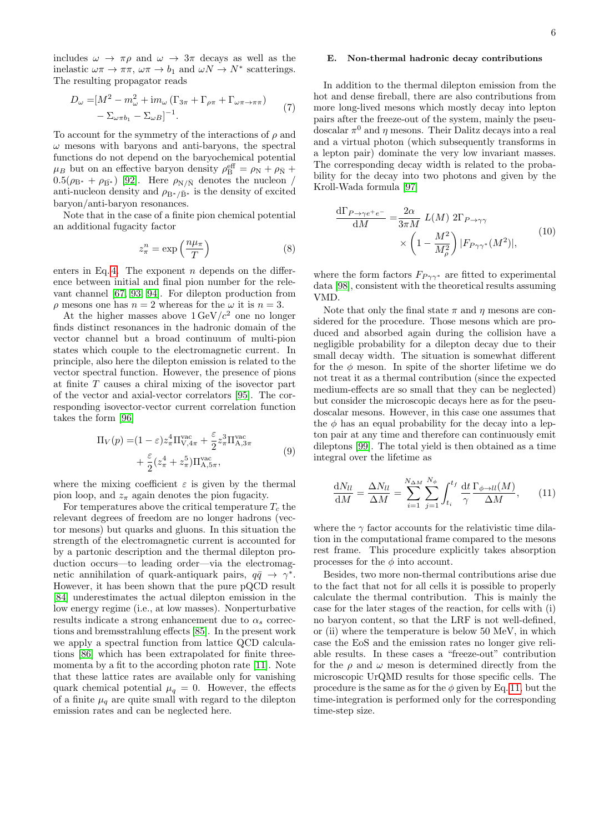includes  $\omega \to \pi \rho$  and  $\omega \to 3\pi$  decays as well as the inelastic  $\omega\pi \to \pi\pi$ ,  $\omega\pi \to b_1$  and  $\omega N \to N^*$  scatterings. The resulting propagator reads

$$
D_{\omega} = [M^2 - m_{\omega}^2 + im_{\omega} (\Gamma_{3\pi} + \Gamma_{\rho\pi} + \Gamma_{\omega\pi \to \pi\pi}) - \Sigma_{\omega\pi b_1} - \Sigma_{\omega B}]^{-1}.
$$
\n(7)

To account for the symmetry of the interactions of  $\rho$  and  $\omega$  mesons with baryons and anti-baryons, the spectral functions do not depend on the baryochemical potential  $\mu_B$  but on an effective baryon density  $\rho_B^{\text{eff}} = \rho_N + \rho_{\bar{N}} + \rho_{\bar{N}}$  $0.5(\rho_{\rm B*} + \rho_{\rm \bar{B^*}})$  [\[92\]](#page-16-26). Here  $\rho_{\rm N/\bar{N}}$  denotes the nucleon / anti-nucleon density and  $\rho_{\text{B}^*/\bar{\text{B}}^*}$  is the density of excited baryon/anti-baryon resonances.

Note that in the case of a finite pion chemical potential an additional fugacity factor

$$
z_{\pi}^{n} = \exp\left(\frac{n\mu_{\pi}}{T}\right)
$$
 (8)

enters in Eq. [4.](#page-4-2) The exponent  $n$  depends on the difference between initial and final pion number for the relevant channel [\[67,](#page-16-7) [93,](#page-16-27) [94\]](#page-16-28). For dilepton production from  $\rho$  mesons one has  $n = 2$  whereas for the  $\omega$  it is  $n = 3$ .

At the higher masses above  $1 \text{ GeV}/c^2$  one no longer finds distinct resonances in the hadronic domain of the vector channel but a broad continuum of multi-pion states which couple to the electromagnetic current. In principle, also here the dilepton emission is related to the vector spectral function. However, the presence of pions at finite T causes a chiral mixing of the isovector part of the vector and axial-vector correlators [\[95\]](#page-16-29). The corresponding isovector-vector current correlation function takes the form [\[96\]](#page-16-30)

$$
\Pi_V(p) = (1 - \varepsilon) z_\pi^4 \Pi_{V,4\pi}^{\text{vac}} + \frac{\varepsilon}{2} z_\pi^3 \Pi_{A,3\pi}^{\text{vac}} + \frac{\varepsilon}{2} (z_\pi^4 + z_\pi^5) \Pi_{A,5\pi}^{\text{vac}}, \tag{9}
$$

where the mixing coefficient  $\varepsilon$  is given by the thermal pion loop, and  $z_{\pi}$  again denotes the pion fugacity.

For temperatures above the critical temperature  $T_c$  the relevant degrees of freedom are no longer hadrons (vector mesons) but quarks and gluons. In this situation the strength of the electromagnetic current is accounted for by a partonic description and the thermal dilepton production occurs—to leading order—via the electromagnetic annihilation of quark-antiquark pairs,  $q\bar{q} \rightarrow \gamma^*$ . However, it has been shown that the pure pQCD result [\[84\]](#page-16-18) underestimates the actual dilepton emission in the low energy regime (i.e., at low masses). Nonperturbative results indicate a strong enhancement due to  $\alpha_s$  corrections and bremsstrahlung effects [\[85\]](#page-16-19). In the present work we apply a spectral function from lattice QCD calculations [\[86\]](#page-16-20) which has been extrapolated for finite threemomenta by a fit to the according photon rate [\[11\]](#page-15-7). Note that these lattice rates are available only for vanishing quark chemical potential  $\mu_q = 0$ . However, the effects of a finite  $\mu_q$  are quite small with regard to the dilepton emission rates and can be neglected here.

# E. Non-thermal hadronic decay contributions

In addition to the thermal dilepton emission from the hot and dense fireball, there are also contributions from more long-lived mesons which mostly decay into lepton pairs after the freeze-out of the system, mainly the pseudoscalar  $\pi^0$  and  $\eta$  mesons. Their Dalitz decays into a real and a virtual photon (which subsequently transforms in a lepton pair) dominate the very low invariant masses. The corresponding decay width is related to the probability for the decay into two photons and given by the Kroll-Wada formula [\[97\]](#page-16-31)

$$
\frac{d\Gamma_{P\to\gamma e^+e^-}}{dM} = \frac{2\alpha}{3\pi M} L(M) 2\Gamma_{P\to\gamma\gamma} \times \left(1 - \frac{M^2}{M_\rho^2}\right) |F_{P\gamma\gamma^*}(M^2)|, \tag{10}
$$

where the form factors  $F_{P\gamma\gamma^*}$  are fitted to experimental data [\[98\]](#page-16-32), consistent with the theoretical results assuming VMD.

Note that only the final state  $\pi$  and  $\eta$  mesons are considered for the procedure. Those mesons which are produced and absorbed again during the collision have a negligible probability for a dilepton decay due to their small decay width. The situation is somewhat different for the  $\phi$  meson. In spite of the shorter lifetime we do not treat it as a thermal contribution (since the expected medium-effects are so small that they can be neglected) but consider the microscopic decays here as for the pseudoscalar mesons. However, in this case one assumes that the  $\phi$  has an equal probability for the decay into a lepton pair at any time and therefore can continuously emit dileptons [\[99\]](#page-16-33). The total yield is then obtained as a time integral over the lifetime as

<span id="page-5-0"></span>
$$
\frac{\mathrm{d}N_{ll}}{\mathrm{d}M} = \frac{\Delta N_{ll}}{\Delta M} = \sum_{i=1}^{N_{\Delta M}} \sum_{j=1}^{N_{\phi}} \int_{t_i}^{t_f} \frac{\mathrm{d}t}{\gamma} \frac{\Gamma_{\phi \to ll}(M)}{\Delta M}, \quad (11)
$$

where the  $\gamma$  factor accounts for the relativistic time dilation in the computational frame compared to the mesons rest frame. This procedure explicitly takes absorption processes for the  $\phi$  into account.

Besides, two more non-thermal contributions arise due to the fact that not for all cells it is possible to properly calculate the thermal contribution. This is mainly the case for the later stages of the reaction, for cells with (i) no baryon content, so that the LRF is not well-defined, or (ii) where the temperature is below 50 MeV, in which case the EoS and the emission rates no longer give reliable results. In these cases a "freeze-out" contribution for the  $\rho$  and  $\omega$  meson is determined directly from the microscopic UrQMD results for those specific cells. The procedure is the same as for the  $\phi$  given by Eq. [11,](#page-5-0) but the time-integration is performed only for the corresponding time-step size.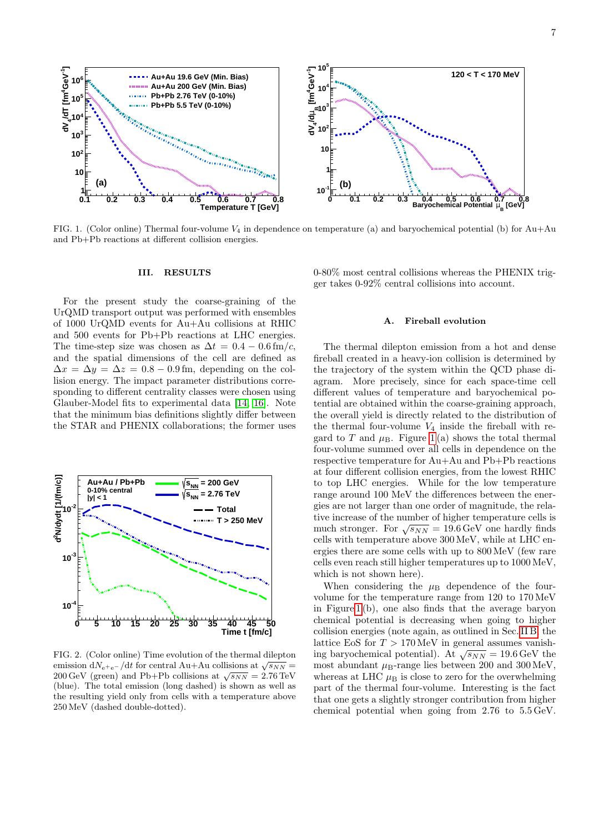

<span id="page-6-1"></span>FIG. 1. (Color online) Thermal four-volume  $V_4$  in dependence on temperature (a) and baryochemical potential (b) for Au+Au and Pb+Pb reactions at different collision energies.

#### III. RESULTS

For the present study the coarse-graining of the UrQMD transport output was performed with ensembles of 1000 UrQMD events for Au+Au collisions at RHIC and 500 events for Pb+Pb reactions at LHC energies. The time-step size was chosen as  $\Delta t = 0.4 - 0.6$  fm/c, and the spatial dimensions of the cell are defined as  $\Delta x = \Delta y = \Delta z = 0.8 - 0.9$  fm, depending on the collision energy. The impact parameter distributions corresponding to different centrality classes were chosen using Glauber-Model fits to experimental data [\[14,](#page-15-43) [16\]](#page-15-11). Note that the minimum bias definitions slightly differ between the STAR and PHENIX collaborations; the former uses



<span id="page-6-2"></span>FIG. 2. (Color online) Time evolution of the thermal dilepton emission  $dN_{e^+e^-}/dt$  for central Au+Au collisions at  $\sqrt{s_{NN}}$  = emission div<sub>ete</sub>-/d for central Au+Au comsions at  $\sqrt{s_{NN}}$  = 200 GeV (green) and Pb+Pb collisions at  $\sqrt{s_{NN}}$  = 2.76 TeV (blue). The total emission (long dashed) is shown as well as the resulting yield only from cells with a temperature above 250 MeV (dashed double-dotted).

0-80% most central collisions whereas the PHENIX trigger takes 0-92% central collisions into account.

### <span id="page-6-0"></span>A. Fireball evolution

The thermal dilepton emission from a hot and dense fireball created in a heavy-ion collision is determined by the trajectory of the system within the QCD phase diagram. More precisely, since for each space-time cell different values of temperature and baryochemical potential are obtained within the coarse-graining approach, the overall yield is directly related to the distribution of the thermal four-volume  $V_4$  inside the fireball with regard to T and  $\mu_{\rm B}$ . Figure [1](#page-6-1)(a) shows the total thermal four-volume summed over all cells in dependence on the respective temperature for Au+Au and Pb+Pb reactions at four different collision energies, from the lowest RHIC to top LHC energies. While for the low temperature range around 100 MeV the differences between the energies are not larger than one order of magnitude, the relative increase of the number of higher temperature cells is much stronger. For  $\sqrt{s_{NN}} = 19.6 \,\text{GeV}$  one hardly finds cells with temperature above 300 MeV, while at LHC energies there are some cells with up to 800 MeV (few rare cells even reach still higher temperatures up to 1000 MeV, which is not shown here).

When considering the  $\mu_B$  dependence of the fourvolume for the temperature range from 120 to 170 MeV in Figure [1](#page-6-1) (b), one also finds that the average baryon chemical potential is decreasing when going to higher collision energies (note again, as outlined in Sec. [II B,](#page-2-3) the lattice EoS for  $T > 170 \,\text{MeV}$  in general assumes vanishvalue Eqs for  $I > 170$  MeV in general assumes valuation<br>ing baryochemical potential). At  $\sqrt{s_{NN}} = 19.6$  GeV the most abundant  $\mu$ B-range lies between 200 and 300 MeV, whereas at LHC  $\mu_B$  is close to zero for the overwhelming part of the thermal four-volume. Interesting is the fact that one gets a slightly stronger contribution from higher chemical potential when going from 2.76 to 5.5 GeV.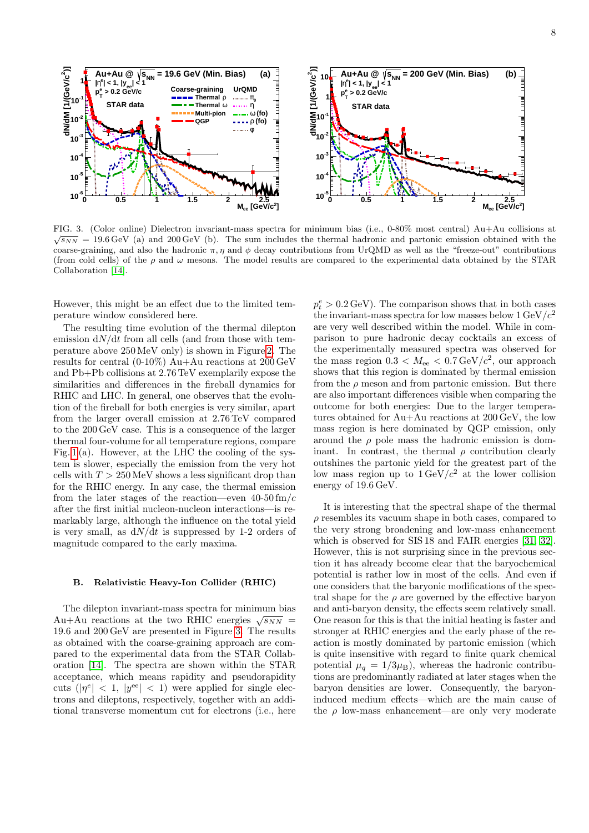

<span id="page-7-1"></span>FIG. 3. (Color online) Dielectron invariant-mass spectra for minimum bias (i.e., 0-80% most central) Au+Au collisions at √  $\sqrt{s_{NN}}$  = 19.6 GeV (a) and 200 GeV (b). The sum includes the thermal hadronic and partonic emission obtained with the coarse-graining, and also the hadronic  $\pi$ ,  $\eta$  and  $\phi$  decay contributions from UrQMD as well as the "freeze-out" contributions (from cold cells) of the  $\rho$  and  $\omega$  mesons. The model results are compared to the experimental data obtained by the STAR Collaboration [\[14\]](#page-15-43).

However, this might be an effect due to the limited temperature window considered here.

The resulting time evolution of the thermal dilepton emission  $dN/dt$  from all cells (and from those with temperature above 250 MeV only) is shown in Figure [2.](#page-6-2) The results for central (0-10%) Au+Au reactions at 200 GeV and Pb+Pb collisions at 2.76 TeV exemplarily expose the similarities and differences in the fireball dynamics for RHIC and LHC. In general, one observes that the evolution of the fireball for both energies is very similar, apart from the larger overall emission at 2.76 TeV compared to the 200 GeV case. This is a consequence of the larger thermal four-volume for all temperature regions, compare Fig.  $1(a)$ . However, at the LHC the cooling of the system is slower, especially the emission from the very hot cells with  $T > 250 \,\text{MeV}$  shows a less significant drop than for the RHIC energy. In any case, the thermal emission from the later stages of the reaction—even  $40-50$  fm/c after the first initial nucleon-nucleon interactions—is remarkably large, although the influence on the total yield is very small, as  $dN/dt$  is suppressed by 1-2 orders of magnitude compared to the early maxima.

#### <span id="page-7-0"></span>B. Relativistic Heavy-Ion Collider (RHIC)

The dilepton invariant-mass spectra for minimum bias The different invariant-mass spectra for minimum bias<br>Au+Au reactions at the two RHIC energies  $\sqrt{s_{NN}}$ 19.6 and 200 GeV are presented in Figure [3.](#page-7-1) The results as obtained with the coarse-graining approach are compared to the experimental data from the STAR Collaboration [\[14\]](#page-15-43). The spectra are shown within the STAR acceptance, which means rapidity and pseudorapidity cuts  $(|\eta^e| < 1, |y^{\text{ee}}| < 1)$  were applied for single electrons and dileptons, respectively, together with an additional transverse momentum cut for electrons (i.e., here

 $p_t^e > 0.2 \,\text{GeV}$ . The comparison shows that in both cases the invariant-mass spectra for low masses below  $1 \text{ GeV}/c^2$ are very well described within the model. While in comparison to pure hadronic decay cocktails an excess of the experimentally measured spectra was observed for the mass region  $0.3 < M_{ee} < 0.7 \,\text{GeV}/c^2$ , our approach shows that this region is dominated by thermal emission from the  $\rho$  meson and from partonic emission. But there are also important differences visible when comparing the outcome for both energies: Due to the larger temperatures obtained for Au+Au reactions at 200 GeV, the low mass region is here dominated by QGP emission, only around the  $\rho$  pole mass the hadronic emission is dominant. In contrast, the thermal  $\rho$  contribution clearly outshines the partonic yield for the greatest part of the low mass region up to  $1 \text{ GeV}/c^2$  at the lower collision energy of 19.6 GeV.

It is interesting that the spectral shape of the thermal  $\rho$  resembles its vacuum shape in both cases, compared to the very strong broadening and low-mass enhancement which is observed for SIS 18 and FAIR energies [\[31,](#page-15-27) [32\]](#page-15-44). However, this is not surprising since in the previous section it has already become clear that the baryochemical potential is rather low in most of the cells. And even if one considers that the baryonic modifications of the spectral shape for the  $\rho$  are governed by the effective baryon and anti-baryon density, the effects seem relatively small. One reason for this is that the initial heating is faster and stronger at RHIC energies and the early phase of the reaction is mostly dominated by partonic emission (which is quite insensitive with regard to finite quark chemical potential  $\mu_q = 1/3\mu_B$ , whereas the hadronic contributions are predominantly radiated at later stages when the baryon densities are lower. Consequently, the baryoninduced medium effects—which are the main cause of the  $\rho$  low-mass enhancement—are only very moderate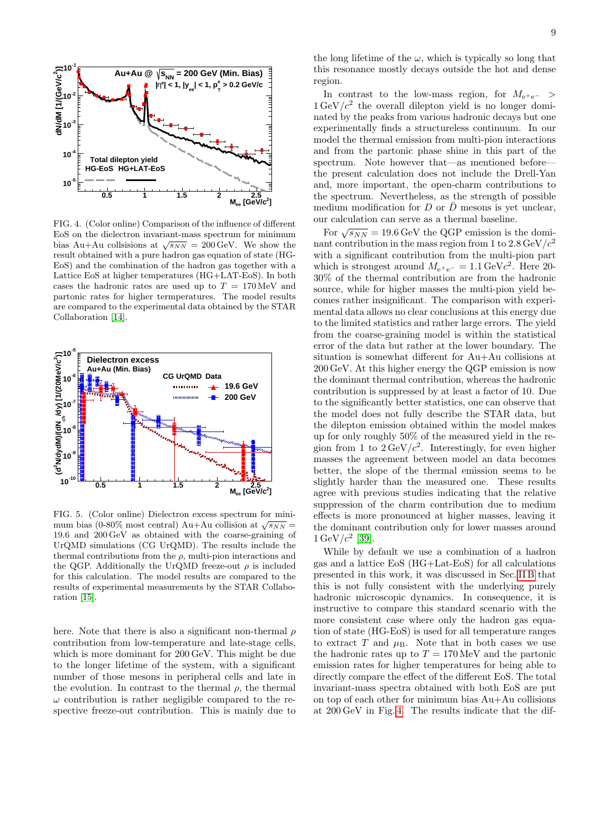

<span id="page-8-0"></span>FIG. 4. (Color online) Comparison of the influence of different EoS on the dielectron invariant-mass spectrum for minimum bias Au+Au collsisions at  $\sqrt{s_{NN}} = 200 \,\text{GeV}$ . We show the result obtained with a pure hadron gas equation of state (HG-EoS) and the combination of the hadron gas together with a Lattice EoS at higher temperatures (HG+LAT-EoS). In both cases the hadronic rates are used up to  $T = 170 \,\text{MeV}$  and partonic rates for higher termperatures. The model results are compared to the experimental data obtained by the STAR Collaboration [\[14\]](#page-15-43).



<span id="page-8-1"></span>FIG. 5. (Color online) Dielectron excess spectrum for minimum bias (0-80% most central) Au+Au collision at  $\sqrt{s_{NN}}$  = 19.6 and 200 GeV as obtained with the coarse-graining of UrQMD simulations (CG UrQMD). The results include the thermal contributions from the  $\rho$ , multi-pion interactions and the QGP. Additionally the UrQMD freeze-out  $\rho$  is included for this calculation. The model results are compared to the results of experimental measurements by the STAR Collaboration [\[15\]](#page-15-10).

here. Note that there is also a significant non-thermal  $\rho$ contribution from low-temperature and late-stage cells, which is more dominant for 200 GeV. This might be due to the longer lifetime of the system, with a significant number of those mesons in peripheral cells and late in the evolution. In contrast to the thermal  $\rho$ , the thermal  $\omega$  contribution is rather negligible compared to the respective freeze-out contribution. This is mainly due to

the long lifetime of the  $\omega$ , which is typically so long that this resonance mostly decays outside the hot and dense region.

In contrast to the low-mass region, for  $M_{e^+e^-}$  >  $1 \text{ GeV}/c^2$  the overall dilepton yield is no longer dominated by the peaks from various hadronic decays but one experimentally finds a structureless continuum. In our model the thermal emission from multi-pion interactions and from the partonic phase shine in this part of the spectrum. Note however that—as mentioned before the present calculation does not include the Drell-Yan and, more important, the open-charm contributions to the spectrum. Nevertheless, as the strength of possible medium modification for  $D$  or  $\overline{D}$  mesons is yet unclear, our calculation can serve as a thermal baseline.

For  $\sqrt{s_{NN}} = 19.6 \,\text{GeV}$  the QGP emission is the dominant contribution in the mass region from 1 to  $2.8 \,\text{GeV}/c^2$ with a significant contribution from the multi-pion part which is strongest around  $M_{e^+e^-} = 1.1 \text{ GeV}c^2$ . Here 20-30% of the thermal contribution are from the hadronic source, while for higher masses the multi-pion yield becomes rather insignificant. The comparison with experimental data allows no clear conclusions at this energy due to the limited statistics and rather large errors. The yield from the coarse-graining model is within the statistical error of the data but rather at the lower boundary. The situation is somewhat different for Au+Au collisions at 200 GeV. At this higher energy the QGP emission is now the dominant thermal contribution, whereas the hadronic contribution is suppressed by at least a factor of 10. Due to the significantly better statistics, one can observe that the model does not fully describe the STAR data, but the dilepton emission obtained within the model makes up for only roughly 50% of the measured yield in the region from 1 to  $2 \text{ GeV}/c^2$ . Interestingly, for even higher masses the agreement between model an data becomes better, the slope of the thermal emission seems to be slightly harder than the measured one. These results agree with previous studies indicating that the relative suppression of the charm contribution due to medium effects is more pronounced at higher masses, leaving it the dominant contribution only for lower masses around  $1 \,\text{GeV}/c^2$  [\[39\]](#page-15-23).

While by default we use a combination of a hadron gas and a lattice EoS (HG+Lat-EoS) for all calculations presented in this work, it was discussed in Sec. [II B](#page-2-3) that this is not fully consistent with the underlying purely hadronic microscopic dynamics. In consequence, it is instructive to compare this standard scenario with the more consistent case where only the hadron gas equation of state (HG-EoS) is used for all temperature ranges to extract  $T$  and  $\mu$ <sub>B</sub>. Note that in both cases we use the hadronic rates up to  $T = 170 \,\text{MeV}$  and the partonic emission rates for higher temperatures for being able to directly compare the effect of the different EoS. The total invariant-mass spectra obtained with both EoS are put on top of each other for minimum bias Au+Au collisions at 200 GeV in Fig. [4.](#page-8-0) The results indicate that the dif-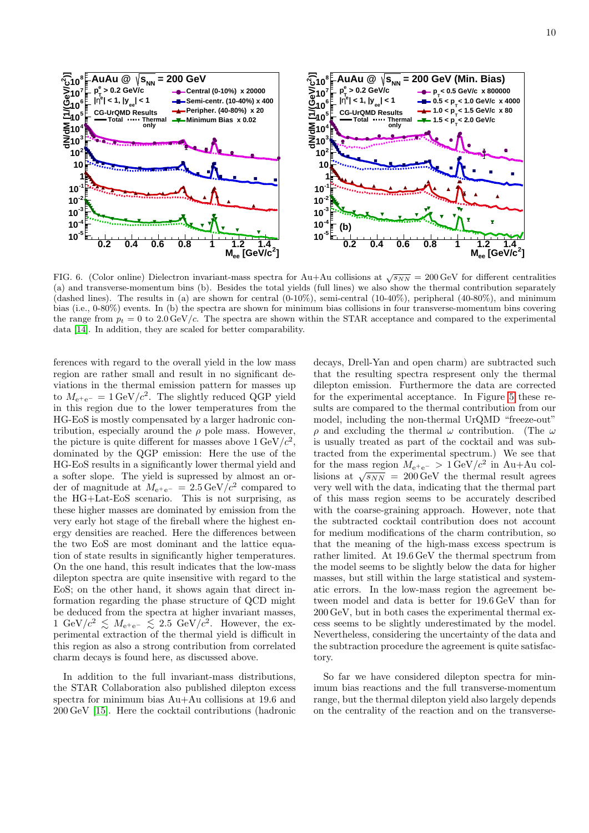

<span id="page-9-0"></span>FIG. 6. (Color online) Dielectron invariant-mass spectra for Au+Au collisions at  $\sqrt{s_{NN}} = 200 \,\text{GeV}$  for different centralities (a) and transverse-momentum bins (b). Besides the total yields (full lines) we also show the thermal contribution separately (dashed lines). The results in (a) are shown for central  $(0-10\%)$ , semi-central  $(10-40\%)$ , peripheral  $(40-80\%)$ , and minimum bias (i.e., 0-80%) events. In (b) the spectra are shown for minimum bias collisions in four transverse-momentum bins covering the range from  $p_t = 0$  to 2.0 GeV/c. The spectra are shown within the STAR acceptance and compared to the experimental data [\[14\]](#page-15-43). In addition, they are scaled for better comparability.

ferences with regard to the overall yield in the low mass region are rather small and result in no significant deviations in the thermal emission pattern for masses up to  $M_{e^+e^-} = 1 \text{ GeV}/c^2$ . The slightly reduced QGP yield in this region due to the lower temperatures from the HG-EoS is mostly compensated by a larger hadronic contribution, especially around the  $\rho$  pole mass. However, the picture is quite different for masses above  $1 \,\text{GeV}/c^2$ , dominated by the QGP emission: Here the use of the HG-EoS results in a significantly lower thermal yield and a softer slope. The yield is supressed by almost an order of magnitude at  $M_{e^+e^-} = 2.5 \,\text{GeV}/c^2$  compared to the HG+Lat-EoS scenario. This is not surprising, as these higher masses are dominated by emission from the very early hot stage of the fireball where the highest energy densities are reached. Here the differences between the two EoS are most dominant and the lattice equation of state results in significantly higher temperatures. On the one hand, this result indicates that the low-mass dilepton spectra are quite insensitive with regard to the EoS; on the other hand, it shows again that direct information regarding the phase structure of QCD might be deduced from the spectra at higher invariant masses, 1 GeV/ $c^2 \leq M_{e^+e^-} \leq 2.5$  GeV/ $c^2$ . However, the experimental extraction of the thermal yield is difficult in this region as also a strong contribution from correlated charm decays is found here, as discussed above.

In addition to the full invariant-mass distributions, the STAR Collaboration also published dilepton excess spectra for minimum bias Au+Au collisions at 19.6 and 200 GeV [\[15\]](#page-15-10). Here the cocktail contributions (hadronic decays, Drell-Yan and open charm) are subtracted such that the resulting spectra respresent only the thermal dilepton emission. Furthermore the data are corrected for the experimental acceptance. In Figure [5](#page-8-1) these results are compared to the thermal contribution from our model, including the non-thermal UrQMD "freeze-out"  $\rho$  and excluding the thermal  $\omega$  contribution. (The  $\omega$ is usually treated as part of the cocktail and was subtracted from the experimental spectrum.) We see that for the mass region  $M_{e^+e^-} > 1 \text{ GeV}/c^2$  in Au+Au collisions at  $\sqrt{s_{NN}} = 200 \,\text{GeV}$  the thermal result agrees very well with the data, indicating that the thermal part of this mass region seems to be accurately described with the coarse-graining approach. However, note that the subtracted cocktail contribution does not account for medium modifications of the charm contribution, so that the meaning of the high-mass excess spectrum is rather limited. At 19.6 GeV the thermal spectrum from the model seems to be slightly below the data for higher masses, but still within the large statistical and systematic errors. In the low-mass region the agreement between model and data is better for 19.6 GeV than for 200 GeV, but in both cases the experimental thermal excess seems to be slightly underestimated by the model. Nevertheless, considering the uncertainty of the data and the subtraction procedure the agreement is quite satisfactory.

So far we have considered dilepton spectra for minimum bias reactions and the full transverse-momentum range, but the thermal dilepton yield also largely depends on the centrality of the reaction and on the transverse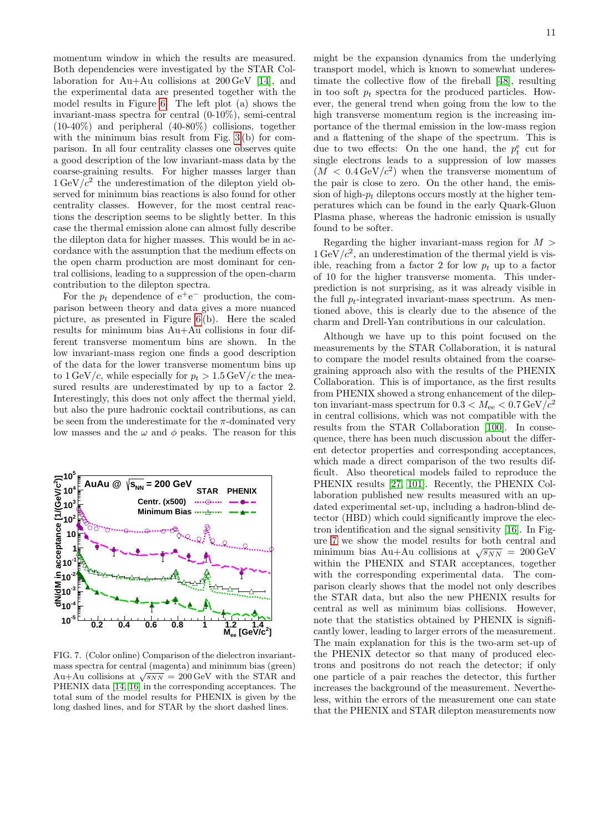momentum window in which the results are measured. Both dependencies were investigated by the STAR Collaboration for Au+Au collisions at 200 GeV [\[14\]](#page-15-43), and the experimental data are presented together with the model results in Figure [6.](#page-9-0) The left plot (a) shows the invariant-mass spectra for central (0-10%), semi-central (10-40%) and peripheral (40-80%) collisions, together with the minimum bias result from Fig. [3](#page-7-1)(b) for comparison. In all four centrality classes one observes quite a good description of the low invariant-mass data by the coarse-graining results. For higher masses larger than  $1 \text{ GeV}/c^2$  the underestimation of the dilepton yield observed for minimum bias reactions is also found for other centrality classes. However, for the most central reactions the description seems to be slightly better. In this case the thermal emission alone can almost fully describe the dilepton data for higher masses. This would be in accordance with the assumption that the medium effects on the open charm production are most dominant for central collisions, leading to a suppression of the open-charm contribution to the dilepton spectra.

For the  $p_t$  dependence of  $e^+e^-$  production, the comparison between theory and data gives a more nuanced picture, as presented in Figure [6](#page-9-0) (b). Here the scaled results for minimum bias Au+Au collisions in four different transverse momentum bins are shown. In the low invariant-mass region one finds a good description of the data for the lower transverse momentum bins up to  $1 \text{ GeV}/c$ , while especially for  $p_t > 1.5 \text{ GeV}/c$  the measured results are underestimated by up to a factor 2. Interestingly, this does not only affect the thermal yield, but also the pure hadronic cocktail contributions, as can be seen from the underestimate for the  $\pi$ -dominated very low masses and the  $\omega$  and  $\phi$  peaks. The reason for this



<span id="page-10-0"></span>FIG. 7. (Color online) Comparison of the dielectron invariantmass spectra for central (magenta) and minimum bias (green) mass spectra for central (inagenta) and minimum bias (green)<br>Au+Au collisions at  $\sqrt{s_{NN}} = 200 \,\text{GeV}$  with the STAR and PHENIX data [\[14,](#page-15-43) [16\]](#page-15-11) in the corresponding acceptances. The total sum of the model results for PHENIX is given by the long dashed lines, and for STAR by the short dashed lines.

might be the expansion dynamics from the underlying transport model, which is known to somewhat underestimate the collective flow of the fireball [\[48\]](#page-15-33), resulting in too soft  $p_t$  spectra for the produced particles. However, the general trend when going from the low to the high transverse momentum region is the increasing importance of the thermal emission in the low-mass region and a flattening of the shape of the spectrum. This is due to two effects: On the one hand, the  $p_t^e$  cut for single electrons leads to a suppression of low masses  $(M < 0.4 \,\text{GeV}/c^2)$  when the transverse momentum of the pair is close to zero. On the other hand, the emission of high- $p_t$  dileptons occurs mostly at the higher temperatures which can be found in the early Quark-Gluon Plasma phase, whereas the hadronic emission is usually found to be softer.

Regarding the higher invariant-mass region for  $M >$  $1 \text{ GeV}/c^2$ , an underestimation of the thermal yield is visible, reaching from a factor 2 for low  $p_t$  up to a factor of 10 for the higher transverse momenta. This underprediction is not surprising, as it was already visible in the full  $p_t$ -integrated invariant-mass spectrum. As mentioned above, this is clearly due to the absence of the charm and Drell-Yan contributions in our calculation.

Although we have up to this point focused on the measurements by the STAR Collaboration, it is natural to compare the model results obtained from the coarsegraining approach also with the results of the PHENIX Collaboration. This is of importance, as the first results from PHENIX showed a strong enhancement of the dilepton invariant-mass spectrum for  $0.3 < M_{\mathrm{ee}} < 0.7 \, \mathrm{GeV}/c^2$ in central collisions, which was not compatible with the results from the STAR Collaboration [\[100\]](#page-16-34). In consequence, there has been much discussion about the different detector properties and corresponding acceptances, which made a direct comparison of the two results difficult. Also theoretical models failed to reproduce the PHENIX results [\[27,](#page-15-45) [101\]](#page-16-35). Recently, the PHENIX Collaboration published new results measured with an updated experimental set-up, including a hadron-blind detector (HBD) which could significantly improve the electron identification and the signal sensitivity [\[16\]](#page-15-11). In Figure [7](#page-10-0) we show the model results for both central and minimum bias Au+Au collisions at  $\sqrt{s_{NN}} = 200 \,\text{GeV}$ within the PHENIX and STAR acceptances, together with the corresponding experimental data. The comparison clearly shows that the model not only describes the STAR data, but also the new PHENIX results for central as well as minimum bias collisions. However, note that the statistics obtained by PHENIX is significantly lower, leading to larger errors of the measurement. The main explanation for this is the two-arm set-up of the PHENIX detector so that many of produced electrons and positrons do not reach the detector; if only one particle of a pair reaches the detector, this further increases the background of the measurement. Nevertheless, within the errors of the measurement one can state that the PHENIX and STAR dilepton measurements now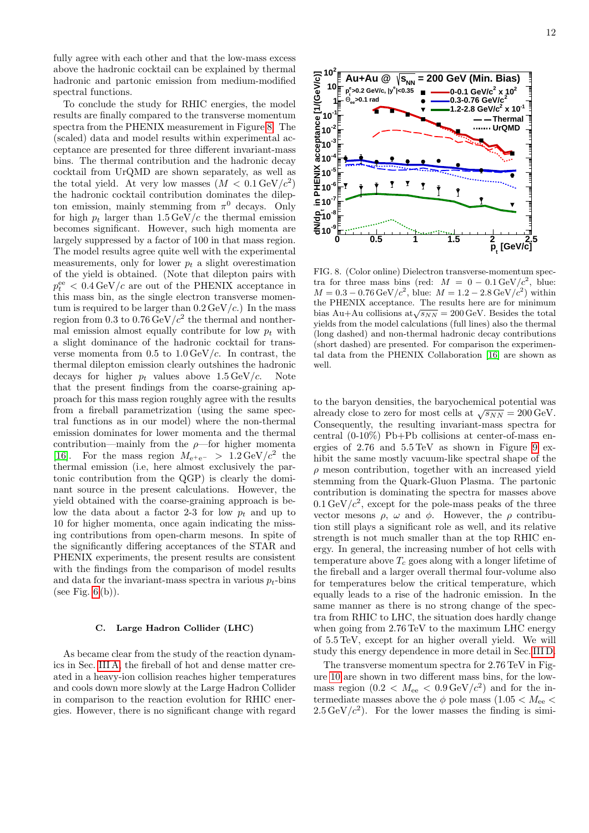fully agree with each other and that the low-mass excess above the hadronic cocktail can be explained by thermal hadronic and partonic emission from medium-modified spectral functions.

To conclude the study for RHIC energies, the model results are finally compared to the transverse momentum spectra from the PHENIX measurement in Figure [8.](#page-11-1) The (scaled) data and model results within experimental acceptance are presented for three different invariant-mass bins. The thermal contribution and the hadronic decay cocktail from UrQMD are shown separately, as well as the total yield. At very low masses  $(M < 0.1 \,\mathrm{GeV}/c^2)$ the hadronic cocktail contribution dominates the dilepton emission, mainly stemming from  $\pi^0$  decays. Only for high  $p_t$  larger than  $1.5 \,\text{GeV}/c$  the thermal emission becomes significant. However, such high momenta are largely suppressed by a factor of 100 in that mass region. The model results agree quite well with the experimental measurements, only for lower  $p_t$  a slight overestimation of the yield is obtained. (Note that dilepton pairs with  $p_t^{\text{ee}} < 0.4 \,\text{GeV}/c$  are out of the PHENIX acceptance in this mass bin, as the single electron transverse momentum is required to be larger than  $0.2 \,\text{GeV}/c$ .) In the mass region from 0.3 to  $0.76 \,\text{GeV}/c^2$  the thermal and nonthermal emission almost equally contribute for low  $p_t$  with a slight dominance of the hadronic cocktail for transverse momenta from  $0.5$  to  $1.0 \,\mathrm{GeV}/c$ . In contrast, the thermal dilepton emission clearly outshines the hadronic decays for higher  $p_t$  values above  $1.5 \,\text{GeV}/c$ . Note that the present findings from the coarse-graining approach for this mass region roughly agree with the results from a fireball parametrization (using the same spectral functions as in our model) where the non-thermal emission dominates for lower momenta and the thermal contribution—mainly from the  $\rho$ —for higher momenta [\[16\]](#page-15-11). For the mass region  $M_{e^+e^-} > 1.2 \,\text{GeV}/c^2$  the thermal emission (i.e, here almost exclusively the partonic contribution from the QGP) is clearly the dominant source in the present calculations. However, the yield obtained with the coarse-graining approach is below the data about a factor 2-3 for low  $p_t$  and up to 10 for higher momenta, once again indicating the missing contributions from open-charm mesons. In spite of the significantly differing acceptances of the STAR and PHENIX experiments, the present results are consistent with the findings from the comparison of model results and data for the invariant-mass spectra in various  $p_t$ -bins (see Fig.  $6(b)$ ).

### <span id="page-11-0"></span>C. Large Hadron Collider (LHC)

As became clear from the study of the reaction dynamics in Sec. [III A,](#page-6-0) the fireball of hot and dense matter created in a heavy-ion collision reaches higher temperatures and cools down more slowly at the Large Hadron Collider in comparison to the reaction evolution for RHIC energies. However, there is no significant change with regard



<span id="page-11-1"></span>FIG. 8. (Color online) Dielectron transverse-momentum spectra for three mass bins (red:  $M = 0 - 0.1 \,\text{GeV}/c$ , blue:  $M = 0.3 - 0.76 \,\text{GeV}/c^2$ , blue:  $M = 1.2 - 2.8 \,\text{GeV}/c^2$ ) within the PHENIX acceptance. The results here are for minimum bias Au+Au collisions at $\sqrt{s_{NN}} = 200 \,\text{GeV}$ . Besides the total yields from the model calculations (full lines) also the thermal (long dashed) and non-thermal hadronic decay contributions (short dashed) are presented. For comparison the experimental data from the PHENIX Collaboration [\[16\]](#page-15-11) are shown as well.

to the baryon densities, the baryochemical potential was to the baryon densities, the baryon elemental potential was<br>already close to zero for most cells at  $\sqrt{s_{NN}} = 200 \,\text{GeV}$ . Consequently, the resulting invariant-mass spectra for central  $(0-10\%)$  Pb+Pb collisions at center-of-mass energies of  $2.76$  and  $5.5 \text{ TeV}$  as shown in Figure [9](#page-12-1) exhibit the same mostly vacuum-like spectral shape of the  $\rho$  meson contribution, together with an increased yield stemming from the Quark-Gluon Plasma. The partonic contribution is dominating the spectra for masses above  $0.1 \,\mathrm{GeV}/c^2$ , except for the pole-mass peaks of the three vector mesons  $\rho$ ,  $\omega$  and  $\phi$ . However, the  $\rho$  contribution still plays a significant role as well, and its relative strength is not much smaller than at the top RHIC energy. In general, the increasing number of hot cells with temperature above  $T_c$  goes along with a longer lifetime of the fireball and a larger overall thermal four-volume also for temperatures below the critical temperature, which equally leads to a rise of the hadronic emission. In the same manner as there is no strong change of the spectra from RHIC to LHC, the situation does hardly change when going from 2.76 TeV to the maximum LHC energy of 5.5 TeV, except for an higher overall yield. We will study this energy dependence in more detail in Sec. [III D.](#page-12-0)

The transverse momentum spectra for 2.76 TeV in Figure [10](#page-12-2) are shown in two different mass bins, for the lowmass region  $(0.2 < M_{ee} < 0.9 \,\text{GeV}/c^2)$  and for the intermediate masses above the  $\phi$  pole mass (1.05  $< M_{ee}$ )  $2.5 \,\text{GeV}/c^2$ ). For the lower masses the finding is simi-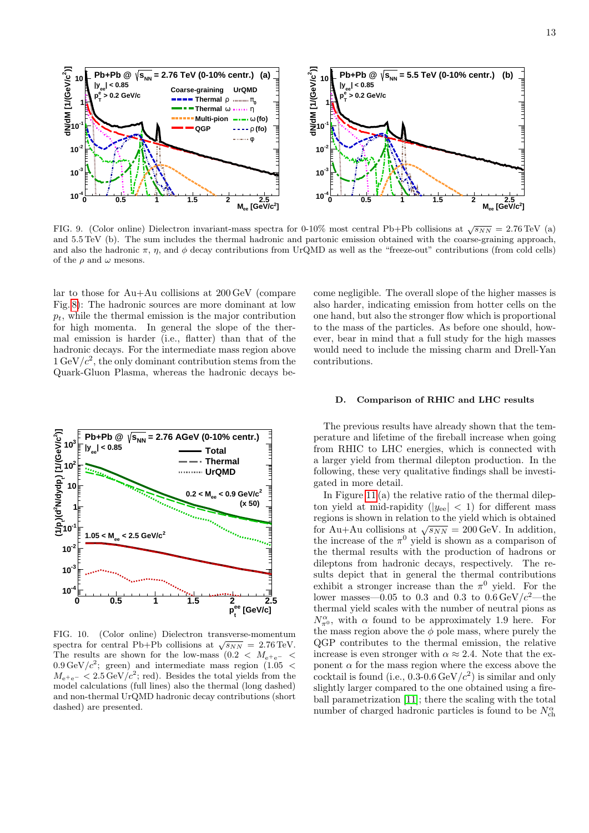

<span id="page-12-1"></span>FIG. 9. (Color online) Dielectron invariant-mass spectra for 0-10% most central Pb+Pb collisions at  $\sqrt{s_{NN}} = 2.76 \,\text{TeV}$  (a) and 5.5 TeV (b). The sum includes the thermal hadronic and partonic emission obtained with the coarse-graining approach, and also the hadronic  $\pi$ ,  $\eta$ , and  $\phi$  decay contributions from UrQMD as well as the "freeze-out" contributions (from cold cells) of the  $\rho$  and  $\omega$  mesons.

lar to those for Au+Au collisions at 200 GeV (compare Fig. [8\)](#page-11-1): The hadronic sources are more dominant at low  $p_t$ , while the thermal emission is the major contribution for high momenta. In general the slope of the thermal emission is harder (i.e., flatter) than that of the hadronic decays. For the intermediate mass region above  $1 \text{ GeV}/c^2$ , the only dominant contribution stems from the Quark-Gluon Plasma, whereas the hadronic decays be-



<span id="page-12-2"></span>FIG. 10. (Color online) Dielectron transverse-momentum spectra for central Pb+Pb collisions at  $\sqrt{s_{NN}} = 2.76 \text{ TeV}$ . The results are shown for the low-mass  $(0.2 < M<sub>e+e-</sub>$  $0.9 \,\text{GeV}/c^2$ ; green) and intermediate mass region (1.05 <  $M_{\text{e}^+\text{e}^-}$  < 2.5 GeV/ $c^2$ ; red). Besides the total yields from the model calculations (full lines) also the thermal (long dashed) and non-thermal UrQMD hadronic decay contributions (short dashed) are presented.

come negligible. The overall slope of the higher masses is also harder, indicating emission from hotter cells on the one hand, but also the stronger flow which is proportional to the mass of the particles. As before one should, however, bear in mind that a full study for the high masses would need to include the missing charm and Drell-Yan contributions.

## <span id="page-12-0"></span>D. Comparison of RHIC and LHC results

The previous results have already shown that the temperature and lifetime of the fireball increase when going from RHIC to LHC energies, which is connected with a larger yield from thermal dilepton production. In the following, these very qualitative findings shall be investigated in more detail.

In Figure [11](#page-13-0) (a) the relative ratio of the thermal dilepton yield at mid-rapidity ( $|y_{ee}| < 1$ ) for different mass regions is shown in relation to the yield which is obtained for Au+Au collisions at  $\sqrt{s_{NN}} = 200 \,\text{GeV}$ . In addition, the increase of the  $\pi^0$  yield is shown as a comparison of the thermal results with the production of hadrons or dileptons from hadronic decays, respectively. The results depict that in general the thermal contributions exhibit a stronger increase than the  $\pi^0$  yield. For the lower masses—0.05 to 0.3 and 0.3 to  $0.6 \,\text{GeV}/c^2$ —the thermal yield scales with the number of neutral pions as  $N_{\pi^0}^{\alpha}$ , with  $\alpha$  found to be approximately 1.9 here. For the mass region above the  $\phi$  pole mass, where purely the QGP contributes to the thermal emission, the relative increase is even stronger with  $\alpha \approx 2.4$ . Note that the exponent  $\alpha$  for the mass region where the excess above the cocktail is found (i.e.,  $0.3{\text -}0.6\,\text{GeV}/c^2$ ) is similar and only slightly larger compared to the one obtained using a fireball parametrization [\[11\]](#page-15-7); there the scaling with the total number of charged hadronic particles is found to be  $N_c^{\alpha}$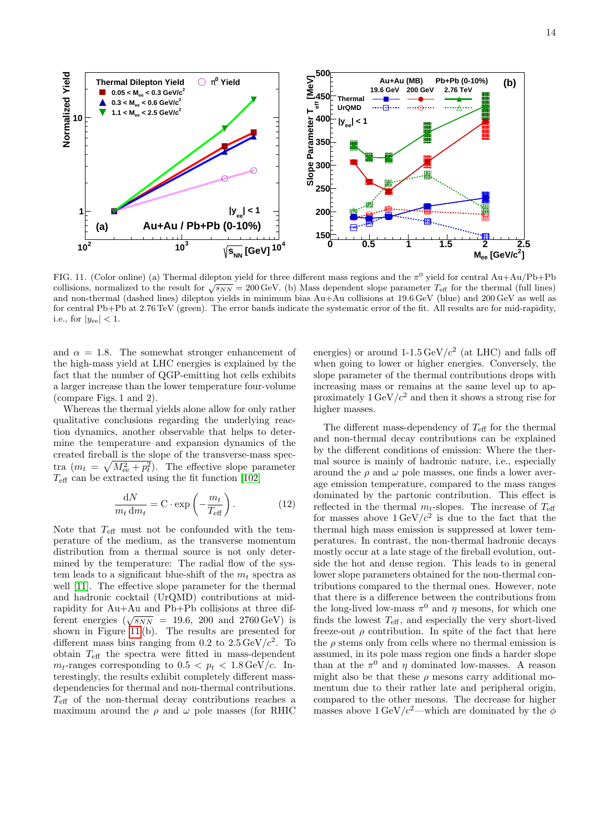

<span id="page-13-0"></span>and non-thermal (dashed lines) dilepton yields in minimum bias Au+Au collisions at 19.6 GeV (blue) and 200 GeV as well as FIG. 11. (Color online) (a) Thermal dilepton yield for three different mass regions and the  $\pi^0$  yield for central Au+Au/Pb+Pb collisions, normalized to the result for  $\sqrt{s_{NN}} = 200 \,\text{GeV}$ . (b) Mass dependent slope parameter  $T_{\text{eff}}$  for the thermal (full lines) for central Pb+Pb at 2.76 TeV (green). The error bands indicate the systematic error of the fit. All results are for mid-rapidity, i.e., for  $|y_{ee}| < 1$ .

and  $\alpha = 1.8$ . The somewhat stronger enhancement of the high-mass yield at LHC energies is explained by the fact that the number of QGP-emitting hot cells exhibits a larger increase than the lower temperature four-volume (compare Figs. 1 and 2).

Whereas the thermal yields alone allow for only rather qualitative conclusions regarding the underlying reaction dynamics, another observable that helps to determine the temperature and expansion dynamics of the created fireball is the slope of the transverse-mass spectra  $(m_t = \sqrt{M_{ee}^2 + p_t^2})$ . The effective slope parameter  $T_{\text{eff}}$  can be extracted using the fit function [\[102\]](#page-16-36)

$$
\frac{\mathrm{d}N}{m_t \,\mathrm{d}m_t} = \mathbf{C} \cdot \exp\left(-\frac{m_t}{T_{\text{eff}}}\right). \tag{12}
$$

Note that  $T_{\text{eff}}$  must not be confounded with the temperature of the medium, as the transverse momentum distribution from a thermal source is not only determined by the temperature: The radial flow of the system leads to a significant blue-shift of the  $m_t$  spectra as well [\[11\]](#page-15-7). The effective slope parameter for the thermal and hadronic cocktail (UrQMD) contributions at midrapidity for Au+Au and Pb+Pb collisions at three dif-Fractional energies ( $\sqrt{s_{NN}}$  = 19.6, 200 and 2760 GeV) is shown in Figure [11](#page-13-0) (b). The results are presented for different mass bins ranging from 0.2 to  $2.5 \,\text{GeV}/c^2$ . To obtain  $T_{\text{eff}}$  the spectra were fitted in mass-dependent  $m_t$ -ranges corresponding to  $0.5 < p_t < 1.8 \,\text{GeV}/c$ . Interestingly, the results exhibit completely different massdependencies for thermal and non-thermal contributions.  $T_{\text{eff}}$  of the non-thermal decay contributions reaches a maximum around the  $\rho$  and  $\omega$  pole masses (for RHIC

energies) or around  $1-1.5 \,\text{GeV}/c^2$  (at LHC) and falls off when going to lower or higher energies. Conversely, the slope parameter of the thermal contributions drops with increasing mass or remains at the same level up to approximately  $1 \text{ GeV}/c^2$  and then it shows a strong rise for higher masses.

The different mass-dependency of  $T_{\text{eff}}$  for the thermal and non-thermal decay contributions can be explained by the different conditions of emission: Where the thermal source is mainly of hadronic nature, i.e., especially around the  $\rho$  and  $\omega$  pole masses, one finds a lower average emission temperature, compared to the mass ranges dominated by the partonic contribution. This effect is reflected in the thermal  $m_t$ -slopes. The increase of  $T_{\text{eff}}$ for masses above  $1 \text{ GeV}/c^2$  is due to the fact that the thermal high mass emission is suppressed at lower temperatures. In contrast, the non-thermal hadronic decays mostly occur at a late stage of the fireball evolution, outside the hot and dense region. This leads to in general lower slope parameters obtained for the non-thermal contributions compared to the thermal ones. However, note that there is a difference between the contributions from the long-lived low-mass  $\pi^0$  and  $\eta$  mesons, for which one finds the lowest  $T_{\text{eff}}$ , and especially the very short-lived freeze-out  $\rho$  contribution. In spite of the fact that here the  $\rho$  stems only from cells where no thermal emission is assumed, in its pole mass region one finds a harder slope than at the  $\pi^0$  and  $\eta$  dominated low-masses. A reason might also be that these  $\rho$  mesons carry additional momentum due to their rather late and peripheral origin, compared to the other mesons. The decrease for higher masses above  $1 \text{ GeV}/c^2$ —which are dominated by the  $\phi$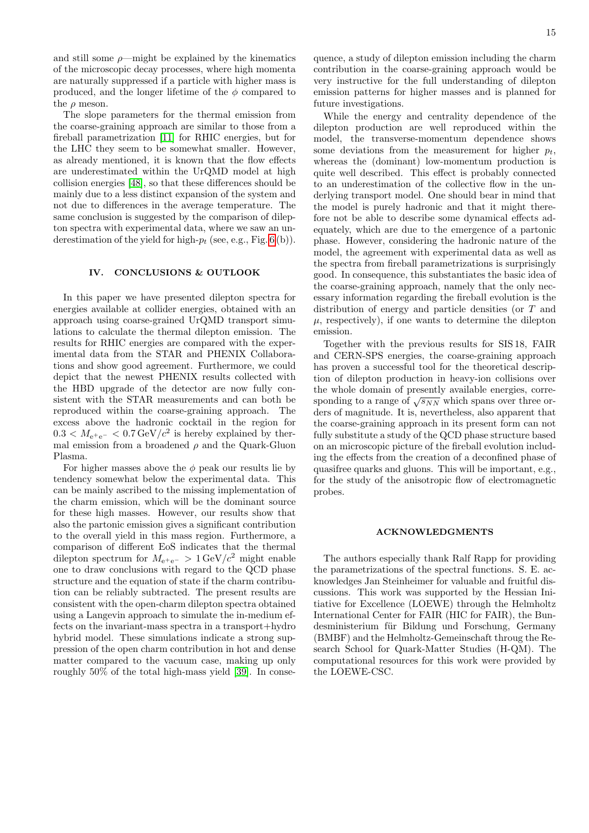and still some  $\rho$ —might be explained by the kinematics of the microscopic decay processes, where high momenta are naturally suppressed if a particle with higher mass is produced, and the longer lifetime of the  $\phi$  compared to the  $\rho$  meson.

The slope parameters for the thermal emission from the coarse-graining approach are similar to those from a fireball parametrization [\[11\]](#page-15-7) for RHIC energies, but for the LHC they seem to be somewhat smaller. However, as already mentioned, it is known that the flow effects are underestimated within the UrQMD model at high collision energies [\[48\]](#page-15-33), so that these differences should be mainly due to a less distinct expansion of the system and not due to differences in the average temperature. The same conclusion is suggested by the comparison of dilepton spectra with experimental data, where we saw an underestimation of the yield for high- $p_t$  (see, e.g., Fig. [6](#page-9-0) (b)).

# <span id="page-14-0"></span>IV. CONCLUSIONS & OUTLOOK

In this paper we have presented dilepton spectra for energies available at collider energies, obtained with an approach using coarse-grained UrQMD transport simulations to calculate the thermal dilepton emission. The results for RHIC energies are compared with the experimental data from the STAR and PHENIX Collaborations and show good agreement. Furthermore, we could depict that the newest PHENIX results collected with the HBD upgrade of the detector are now fully consistent with the STAR measurements and can both be reproduced within the coarse-graining approach. The excess above the hadronic cocktail in the region for  $0.3 < M_{\text{e}^+\text{e}^-} < 0.7 \,\text{GeV}/c^2$  is hereby explained by thermal emission from a broadened  $\rho$  and the Quark-Gluon Plasma.

For higher masses above the  $\phi$  peak our results lie by tendency somewhat below the experimental data. This can be mainly ascribed to the missing implementation of the charm emission, which will be the dominant source for these high masses. However, our results show that also the partonic emission gives a significant contribution to the overall yield in this mass region. Furthermore, a comparison of different EoS indicates that the thermal dilepton spectrum for  $M_{e^+e^-} > 1 \text{ GeV}/c^2$  might enable one to draw conclusions with regard to the QCD phase structure and the equation of state if the charm contribution can be reliably subtracted. The present results are consistent with the open-charm dilepton spectra obtained using a Langevin approach to simulate the in-medium effects on the invariant-mass spectra in a transport+hydro hybrid model. These simulations indicate a strong suppression of the open charm contribution in hot and dense matter compared to the vacuum case, making up only roughly 50% of the total high-mass yield [\[39\]](#page-15-23). In consequence, a study of dilepton emission including the charm contribution in the coarse-graining approach would be very instructive for the full understanding of dilepton emission patterns for higher masses and is planned for future investigations.

While the energy and centrality dependence of the dilepton production are well reproduced within the model, the transverse-momentum dependence shows some deviations from the measurement for higher  $p_t$ , whereas the (dominant) low-momentum production is quite well described. This effect is probably connected to an underestimation of the collective flow in the underlying transport model. One should bear in mind that the model is purely hadronic and that it might therefore not be able to describe some dynamical effects adequately, which are due to the emergence of a partonic phase. However, considering the hadronic nature of the model, the agreement with experimental data as well as the spectra from fireball parametrizations is surprisingly good. In consequence, this substantiates the basic idea of the coarse-graining approach, namely that the only necessary information regarding the fireball evolution is the distribution of energy and particle densities (or T and  $\mu$ , respectively), if one wants to determine the dilepton emission.

Together with the previous results for SIS 18, FAIR and CERN-SPS energies, the coarse-graining approach has proven a successful tool for the theoretical description of dilepton production in heavy-ion collisions over the whole domain of presently available energies, corresponding to a range of  $\sqrt{s_{NN}}$  which spans over three orders of magnitude. It is, nevertheless, also apparent that the coarse-graining approach in its present form can not fully substitute a study of the QCD phase structure based on an microscopic picture of the fireball evolution including the effects from the creation of a deconfined phase of quasifree quarks and gluons. This will be important, e.g., for the study of the anisotropic flow of electromagnetic probes.

#### ACKNOWLEDGMENTS

The authors especially thank Ralf Rapp for providing the parametrizations of the spectral functions. S. E. acknowledges Jan Steinheimer for valuable and fruitful discussions. This work was supported by the Hessian Initiative for Excellence (LOEWE) through the Helmholtz International Center for FAIR (HIC for FAIR), the Bundesministerium für Bildung und Forschung, Germany (BMBF) and the Helmholtz-Gemeinschaft throug the Research School for Quark-Matter Studies (H-QM). The computational resources for this work were provided by the LOEWE-CSC.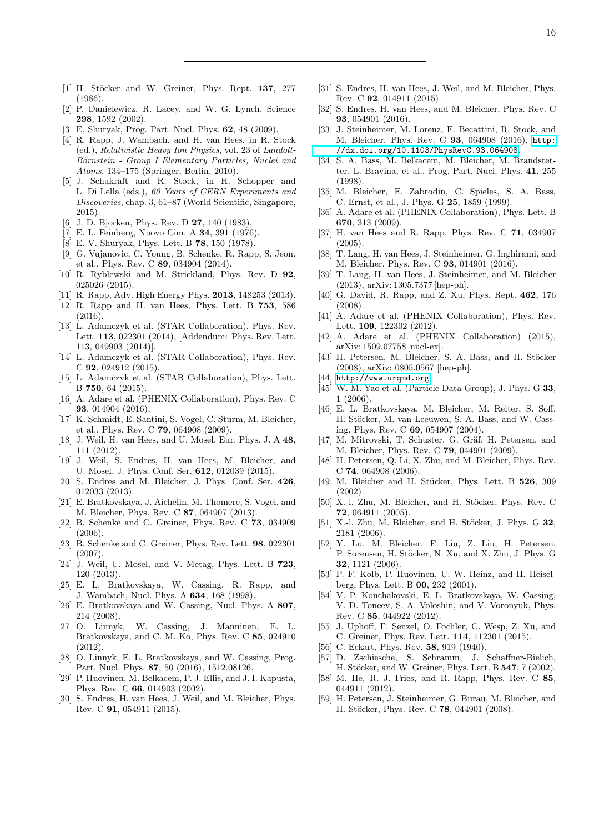- <span id="page-15-0"></span>[1] H. Stöcker and W. Greiner, Phys. Rept. 137, 277 (1986).
- [2] P. Danielewicz, R. Lacey, and W. G. Lynch, Science 298, 1592 (2002).
- [3] E. Shuryak, Prog. Part. Nucl. Phys. 62, 48 (2009).
- [4] R. Rapp, J. Wambach, and H. van Hees, in R. Stock (ed.), Relativistic Heavy Ion Physics, vol. 23 of Landolt-Börnstein - Group I Elementary Particles, Nuclei and Atoms, 134–175 (Springer, Berlin, 2010).
- <span id="page-15-1"></span>[5] J. Schukraft and R. Stock, in H. Schopper and L. Di Lella (eds.), 60 Years of CERN Experiments and Discoveries, chap. 3, 61–87 (World Scientific, Singapore, 2015).
- <span id="page-15-2"></span>[6] J. D. Bjorken, Phys. Rev. D **27**, 140 (1983).
- <span id="page-15-3"></span>[7] E. L. Feinberg, Nuovo Cim. A 34, 391 (1976).
- <span id="page-15-4"></span>[8] E. V. Shuryak, Phys. Lett. B 78, 150 (1978).
- <span id="page-15-5"></span>[9] G. Vujanovic, C. Young, B. Schenke, R. Rapp, S. Jeon, et al., Phys. Rev. C 89, 034904 (2014).
- <span id="page-15-6"></span>[10] R. Ryblewski and M. Strickland, Phys. Rev. D 92, 025026 (2015).
- <span id="page-15-7"></span>[11] R. Rapp, Adv. High Energy Phys. **2013**, 148253 (2013).
- <span id="page-15-8"></span>[12] R. Rapp and H. van Hees, Phys. Lett. B 753, 586 (2016).
- <span id="page-15-9"></span>[13] L. Adamczyk et al. (STAR Collaboration), Phys. Rev. Lett. 113, 022301 (2014), [Addendum: Phys. Rev. Lett. 113, 049903 (2014)].
- <span id="page-15-43"></span>[14] L. Adamczyk et al. (STAR Collaboration), Phys. Rev. C 92, 024912 (2015).
- <span id="page-15-10"></span>[15] L. Adamczyk et al. (STAR Collaboration), Phys. Lett. B 750, 64 (2015).
- <span id="page-15-11"></span>[16] A. Adare et al. (PHENIX Collaboration), Phys. Rev. C 93, 014904 (2016).
- <span id="page-15-12"></span>[17] K. Schmidt, E. Santini, S. Vogel, C. Sturm, M. Bleicher, et al., Phys. Rev. C 79, 064908 (2009).
- [18] J. Weil, H. van Hees, and U. Mosel, Eur. Phys. J. A 48, 111 (2012).
- [19] J. Weil, S. Endres, H. van Hees, M. Bleicher, and U. Mosel, J. Phys. Conf. Ser. 612, 012039 (2015).
- [20] S. Endres and M. Bleicher, J. Phys. Conf. Ser. 426, 012033 (2013).
- <span id="page-15-13"></span>[21] E. Bratkovskaya, J. Aichelin, M. Thomere, S. Vogel, and M. Bleicher, Phys. Rev. C 87, 064907 (2013).
- <span id="page-15-14"></span>[22] B. Schenke and C. Greiner, Phys. Rev. C 73, 034909 (2006).
- [23] B. Schenke and C. Greiner, Phys. Rev. Lett. 98, 022301 (2007).
- [24] J. Weil, U. Mosel, and V. Metag, Phys. Lett. B 723, 120 (2013).
- [25] E. L. Bratkovskaya, W. Cassing, R. Rapp, and J. Wambach, Nucl. Phys. A 634, 168 (1998).
- [26] E. Bratkovskaya and W. Cassing, Nucl. Phys. A 807, 214 (2008).<br>[27] O. Linnyk,
- <span id="page-15-45"></span>W. Cassing, J. Manninen, E. L. Bratkovskaya, and C. M. Ko, Phys. Rev. C 85, 024910  $(2012)$
- <span id="page-15-15"></span>[28] O. Linnyk, E. L. Bratkovskaya, and W. Cassing, Prog. Part. Nucl. Phys. 87, 50 (2016), 1512.08126.
- <span id="page-15-16"></span>[29] P. Huovinen, M. Belkacem, P. J. Ellis, and J. I. Kapusta, Phys. Rev. C 66, 014903 (2002).
- <span id="page-15-17"></span>[30] S. Endres, H. van Hees, J. Weil, and M. Bleicher, Phys. Rev. C 91, 054911 (2015).
- <span id="page-15-27"></span>[31] S. Endres, H. van Hees, J. Weil, and M. Bleicher, Phys. Rev. C 92, 014911 (2015).
- <span id="page-15-44"></span>[32] S. Endres, H. van Hees, and M. Bleicher, Phys. Rev. C 93, 054901 (2016).
- <span id="page-15-18"></span>[33] J. Steinheimer, M. Lorenz, F. Becattini, R. Stock, and M. Bleicher, Phys. Rev. C 93, 064908 (2016), [http:](http://dx.doi.org/10.1103/PhysRevC.93.064908) [//dx.doi.org/10.1103/PhysRevC.93.064908](http://dx.doi.org/10.1103/PhysRevC.93.064908).
- <span id="page-15-19"></span>[34] S. A. Bass, M. Belkacem, M. Bleicher, M. Brandstetter, L. Bravina, et al., Prog. Part. Nucl. Phys. 41, 255 (1998).
- <span id="page-15-20"></span>[35] M. Bleicher, E. Zabrodin, C. Spieles, S. A. Bass, C. Ernst, et al., J. Phys. G 25, 1859 (1999).
- <span id="page-15-21"></span>[36] A. Adare et al. (PHENIX Collaboration), Phys. Lett. B 670, 313 (2009).
- <span id="page-15-22"></span>[37] H. van Hees and R. Rapp, Phys. Rev. C 71, 034907 (2005).
- [38] T. Lang, H. van Hees, J. Steinheimer, G. Inghirami, and M. Bleicher, Phys. Rev. C 93, 014901 (2016).
- <span id="page-15-23"></span>[39] T. Lang, H. van Hees, J. Steinheimer, and M. Bleicher (2013), arXiv: 1305.7377 [hep-ph].
- <span id="page-15-24"></span>[40] G. David, R. Rapp, and Z. Xu, Phys. Rept. 462, 176 (2008).
- <span id="page-15-25"></span>[41] A. Adare et al. (PHENIX Collaboration), Phys. Rev. Lett. **109**, 122302 (2012).
- <span id="page-15-26"></span>[42] A. Adare et al. (PHENIX Collaboration) (2015), arXiv: 1509.07758 [nucl-ex].
- <span id="page-15-28"></span>[43] H. Petersen, M. Bleicher, S. A. Bass, and H. Stöcker (2008), arXiv: 0805.0567 [hep-ph].
- <span id="page-15-29"></span>[44] <http://www.urqmd.org>.
- <span id="page-15-30"></span>[45] W. M. Yao et al. (Particle Data Group), J. Phys. G 33, 1 (2006).
- <span id="page-15-31"></span>[46] E. L. Bratkovskaya, M. Bleicher, M. Reiter, S. Soff, H. Stöcker, M. van Leeuwen, S. A. Bass, and W. Cassing, Phys. Rev. C 69, 054907 (2004).
- <span id="page-15-32"></span>[47] M. Mitrovski, T. Schuster, G. Gräf, H. Petersen, and M. Bleicher, Phys. Rev. C 79, 044901 (2009).
- <span id="page-15-33"></span>[48] H. Petersen, Q. Li, X. Zhu, and M. Bleicher, Phys. Rev. C 74, 064908 (2006).
- <span id="page-15-34"></span>[49] M. Bleicher and H. Stücker, Phys. Lett. B 526, 309 (2002).
- [50] X.-l. Zhu, M. Bleicher, and H. Stöcker, Phys. Rev. C 72, 064911 (2005).
- <span id="page-15-35"></span>[51] X.-l. Zhu, M. Bleicher, and H. Stöcker, J. Phys. G  $32$ , 2181 (2006).
- <span id="page-15-36"></span>[52] Y. Lu, M. Bleicher, F. Liu, Z. Liu, H. Petersen, P. Sorensen, H. Stöcker, N. Xu, and X. Zhu, J. Phys. G 32, 1121 (2006).
- <span id="page-15-37"></span>[53] P. F. Kolb, P. Huovinen, U. W. Heinz, and H. Heiselberg, Phys. Lett. B 00, 232 (2001).
- [54] V. P. Konchakovski, E. L. Bratkovskaya, W. Cassing, V. D. Toneev, S. A. Voloshin, and V. Voronyuk, Phys. Rev. C 85, 044922 (2012).
- <span id="page-15-38"></span>[55] J. Uphoff, F. Senzel, O. Fochler, C. Wesp, Z. Xu, and C. Greiner, Phys. Rev. Lett. 114, 112301 (2015).
- <span id="page-15-39"></span>[56] C. Eckart, Phys. Rev. **58**, 919 (1940).
- <span id="page-15-40"></span>[57] D. Zschiesche, S. Schramm, J. Schaffner-Bielich, H. Stöcker, and W. Greiner, Phys. Lett. B 547, 7 (2002).
- <span id="page-15-41"></span>[58] M. He, R. J. Fries, and R. Rapp, Phys. Rev. C 85, 044911 (2012).
- <span id="page-15-42"></span>[59] H. Petersen, J. Steinheimer, G. Burau, M. Bleicher, and H. Stöcker, Phys. Rev. C 78, 044901 (2008).